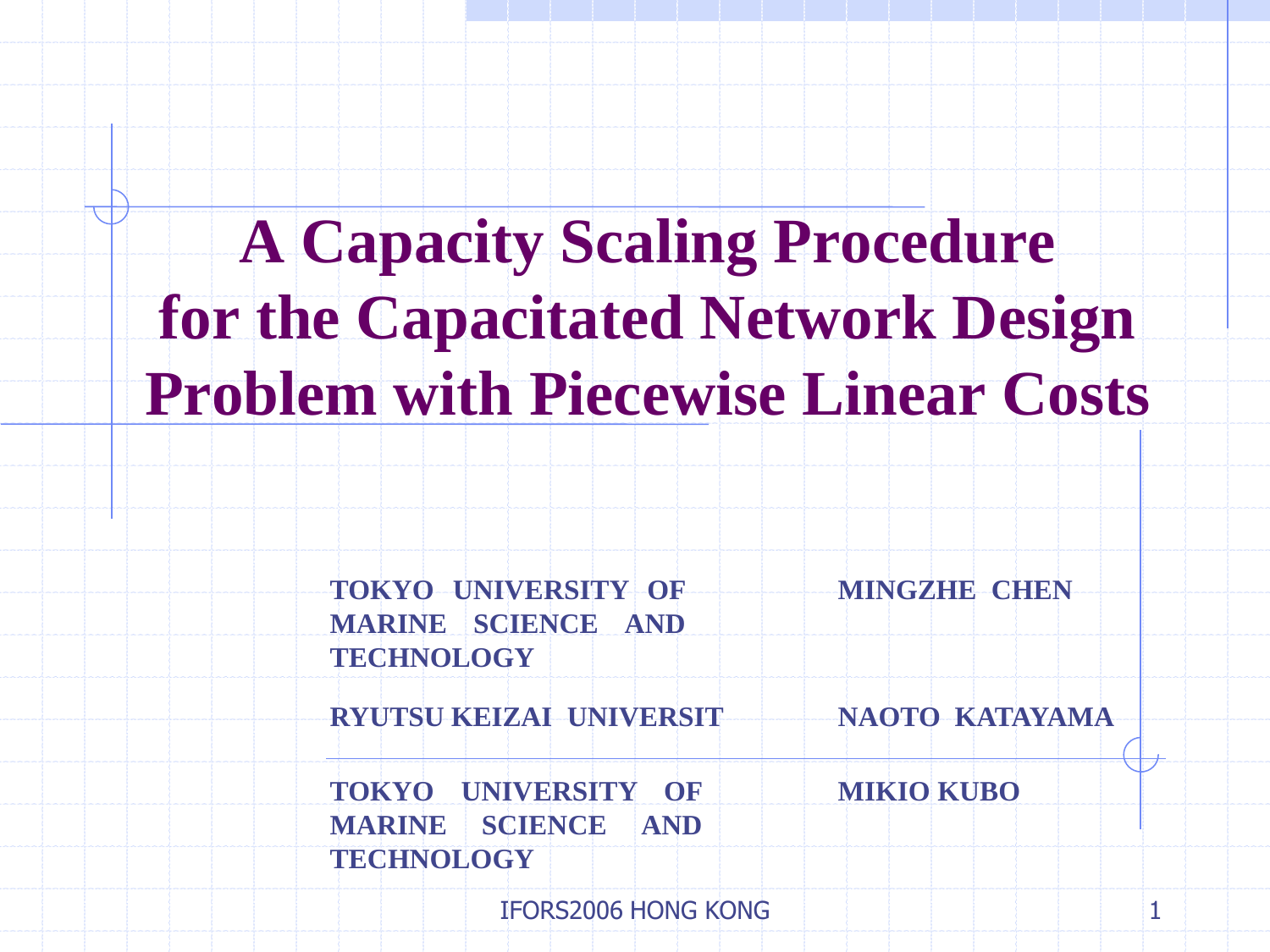# **A Capacity Scaling Procedure for the Capacitated Network Design Problem with Piecewise Linear Costs**

**TOKYO UNIVERSITY OF MARINE SCIENCE AND TECHNOLOGY MINGZHE CHEN**

**RYUTSU KEIZAI UNIVERSIT NAOTO KATAYAMA**

**TOKYO UNIVERSITY OF MIKIO KUBO MARINE SCIENCE AND TECHNOLOGY**

IFORS2006 HONG KONG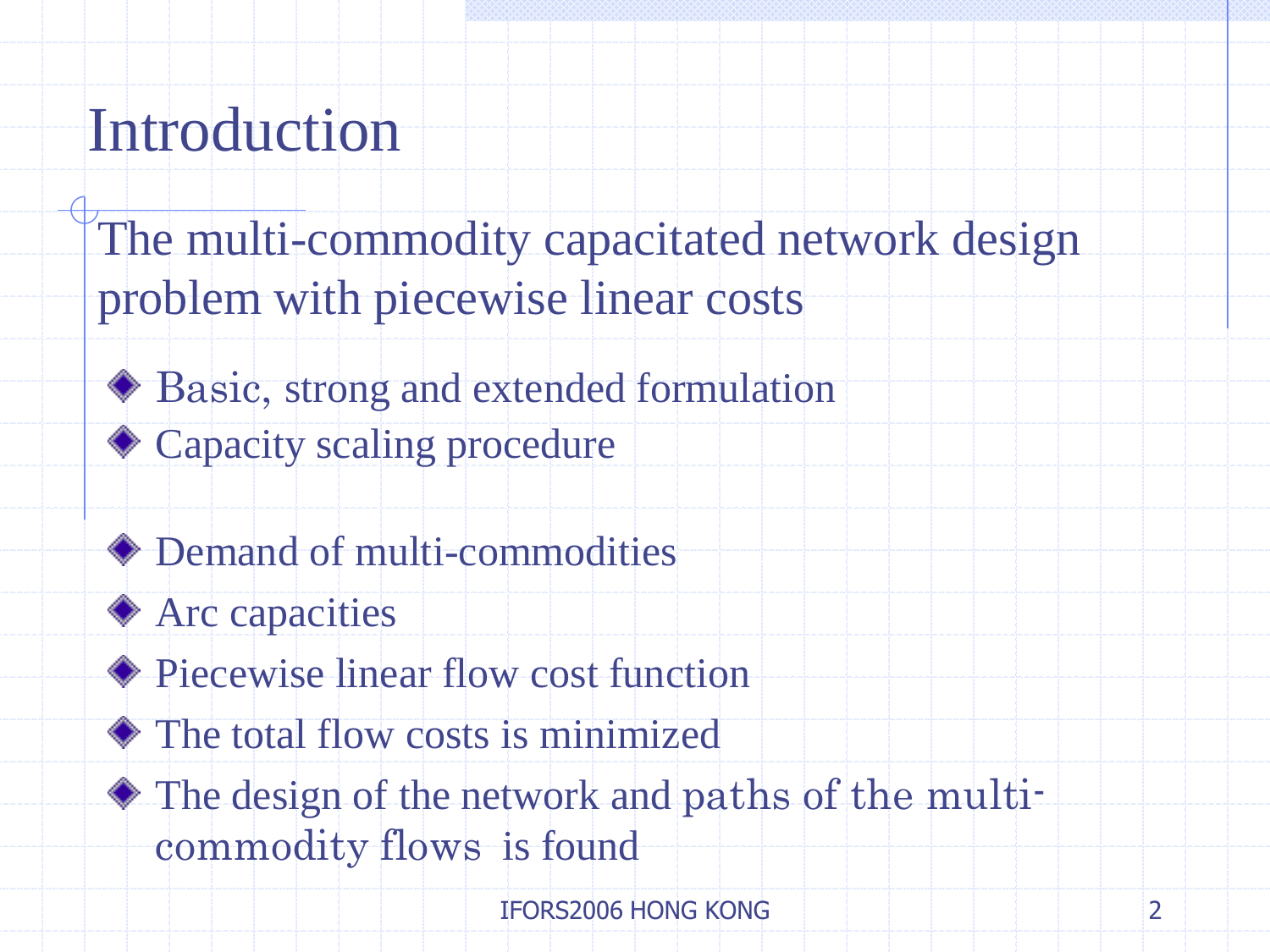# Introduction

- The multi-commodity capacitated network design problem with piecewise linear costs
	- ◆ Basic, strong and extended formulation
	- ◆ Capacity scaling procedure
	- ◆ Demand of multi-commodities
	- **♦ Arc capacities**
	- ◆ Piecewise linear flow cost function
	- The total flow costs is minimized
	- $\bullet$  The design of the network and paths of the multicommodity flows is found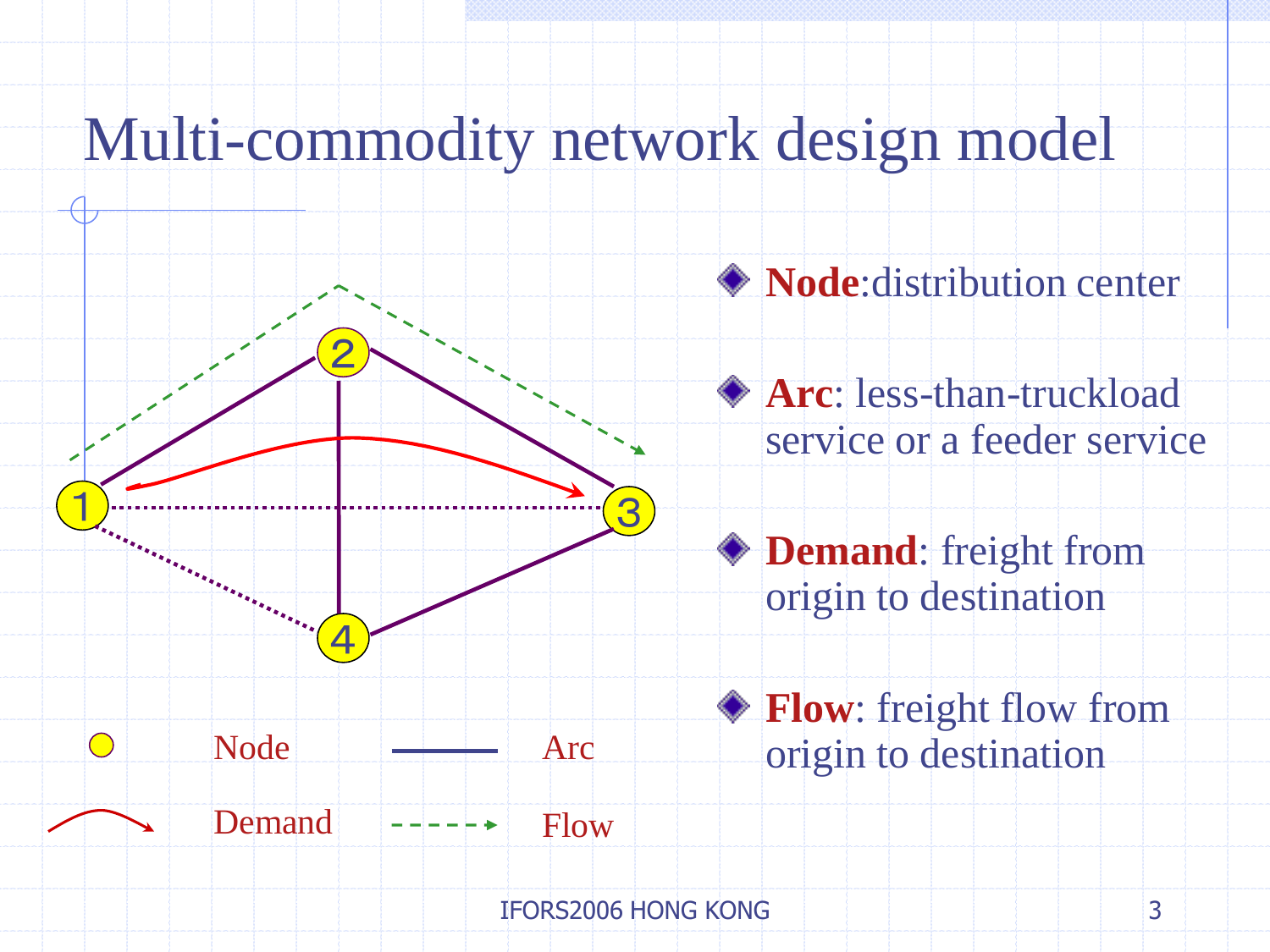### Multi-commodity network design model



**Node**:distribution center

**Arc**: less-than-truckload service or a feeder service

**Demand**: freight from origin to destination

**Flow**: freight flow from origin to destination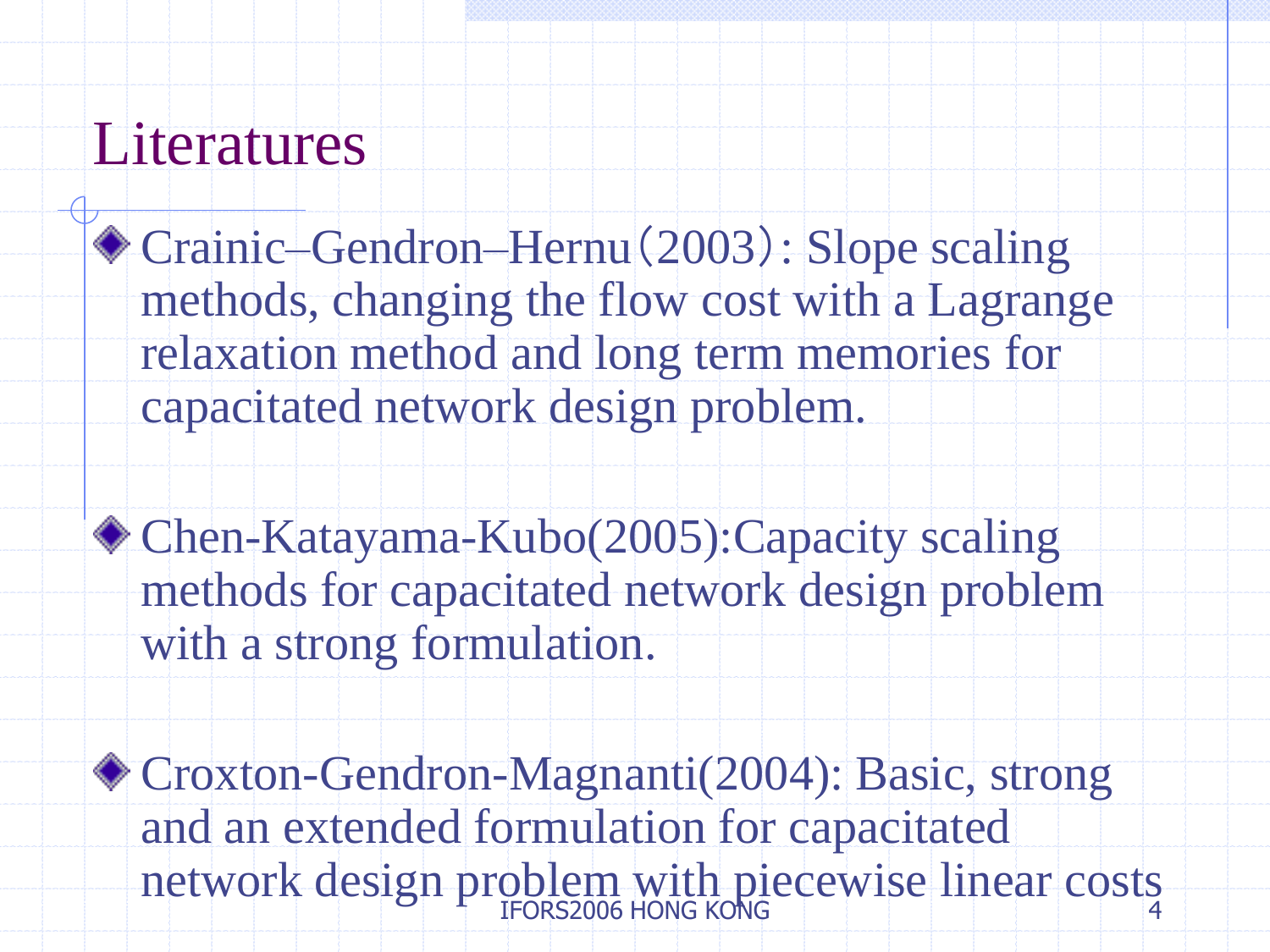### Literatures

- Crainic–Gendron–Hernu(2003): Slope scaling methods, changing the flow cost with a Lagrange relaxation method and long term memories for capacitated network design problem.
- Chen-Katayama-Kubo(2005):Capacity scaling methods for capacitated network design problem with a strong formulation.
- 4 Croxton-Gendron-Magnanti(2004): Basic, strong and an extended formulation for capacitated network design problem with piecewise linear costs IFORS2006 HONG KONG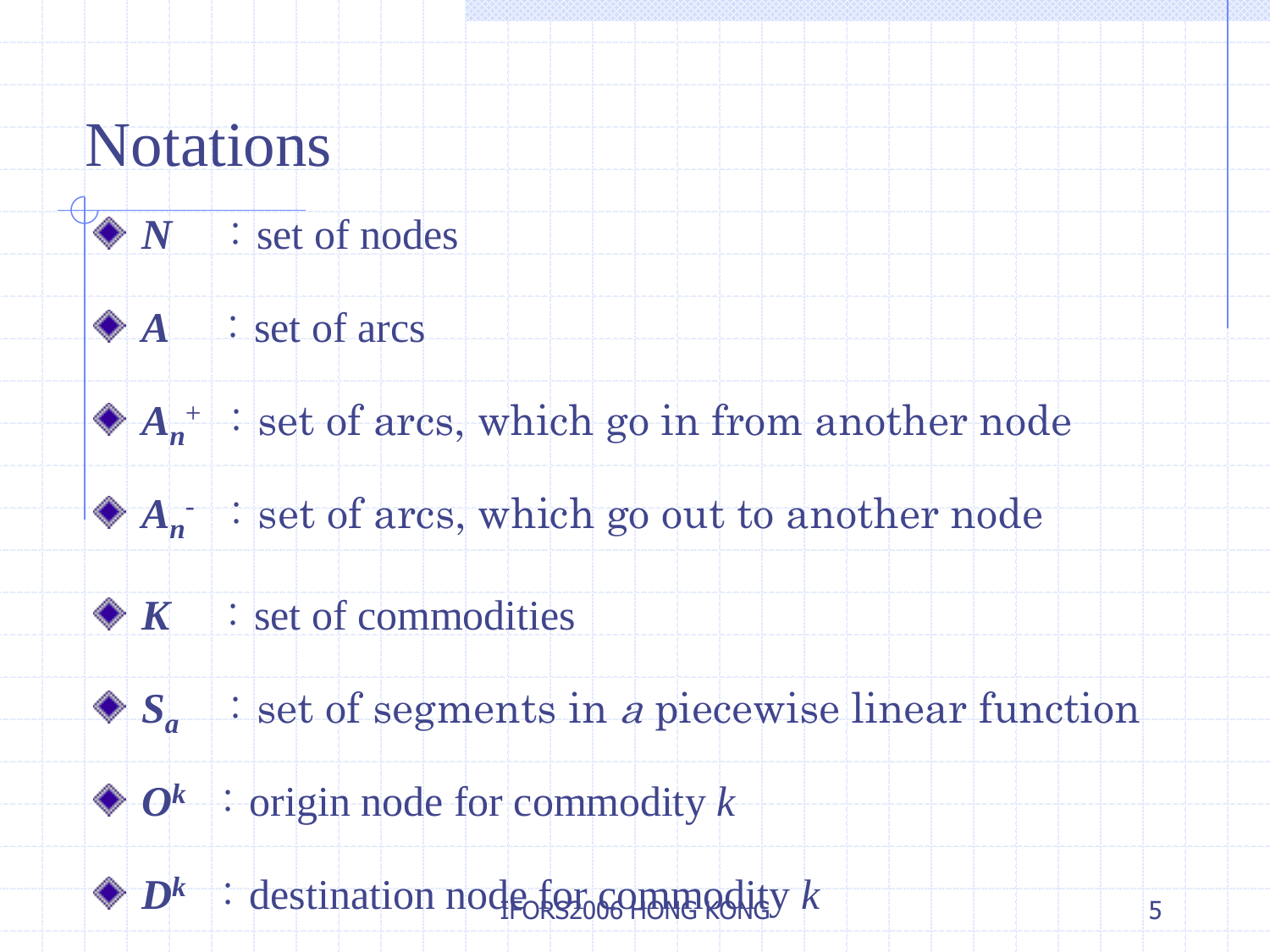### Notations

- $\sqrt{\sqrt{N}}$  : set of nodes
	- $\bigcirc A$  : set of arcs
		- $A_n^+$   $\;\;$  set of arcs, which go in from another node
			- $A_n$   $\rightarrow$  set of arcs, which go out to another node
	- $\mathcal{R}$  : set of commodities
		- $S_a$   $\;\;$  : set of segments in *a* piecewise linear function
	- $\bigcirc$  *O*<sup>k</sup>: origin node for commodity *k*
	- $\bigcirc$  *D*<sup>k</sup> : destination node for commodity *k*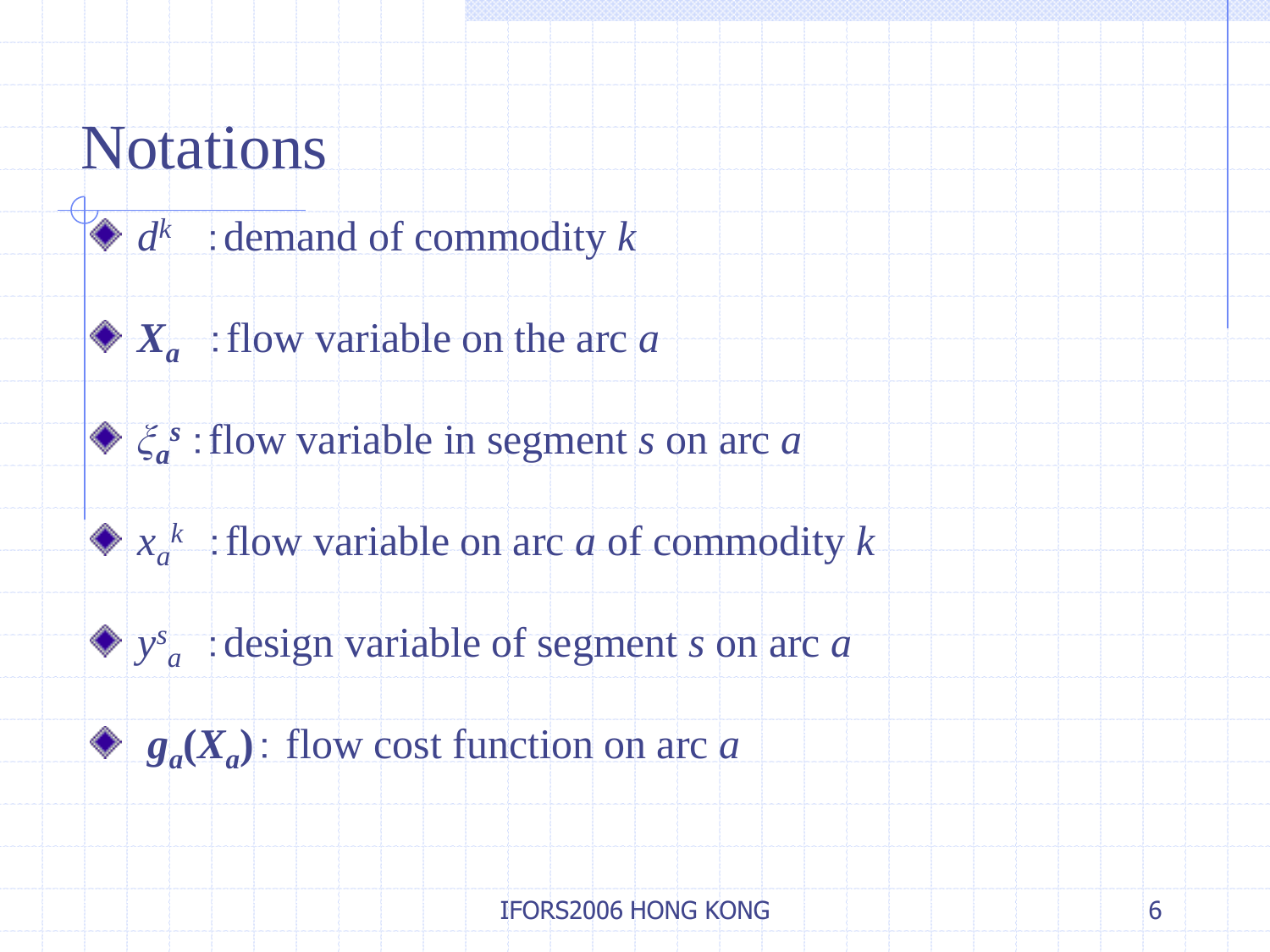### **Notations**

- $d^k$  : demand of commodity *k*
- $\bullet X_a$ : flow variable on the arc *a*
- *ξa <sup>s</sup>*:flow variable in segment *s* on arc *a*
- $x_a^k$ : flow variable on arc *a* of commodity *k* 
	- *y s <sup>a</sup>*:design variable of segment *s* on arc *a*
- $g_a(X_a)$ : flow cost function on arc *a*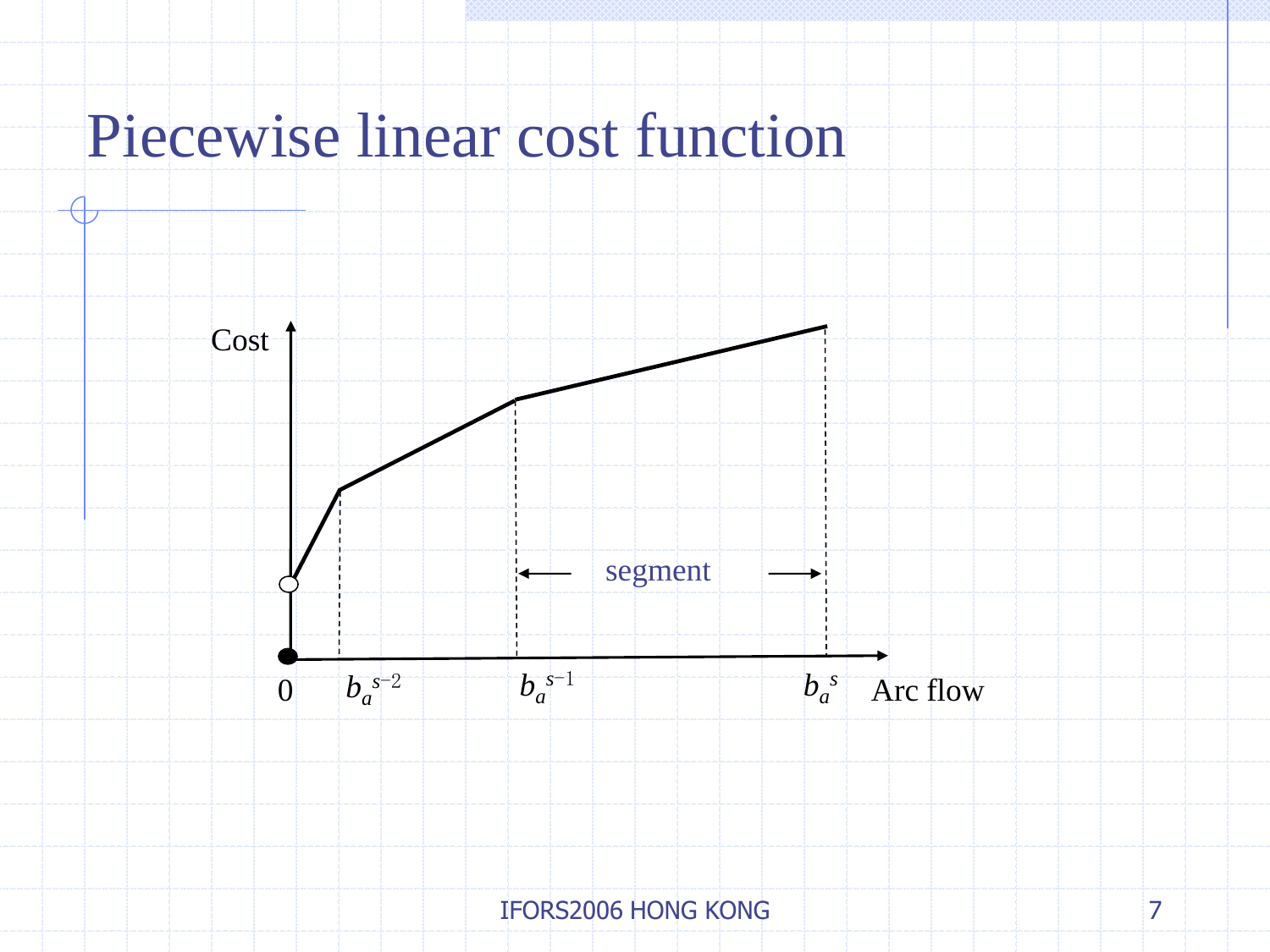## Piecewise linear cost function

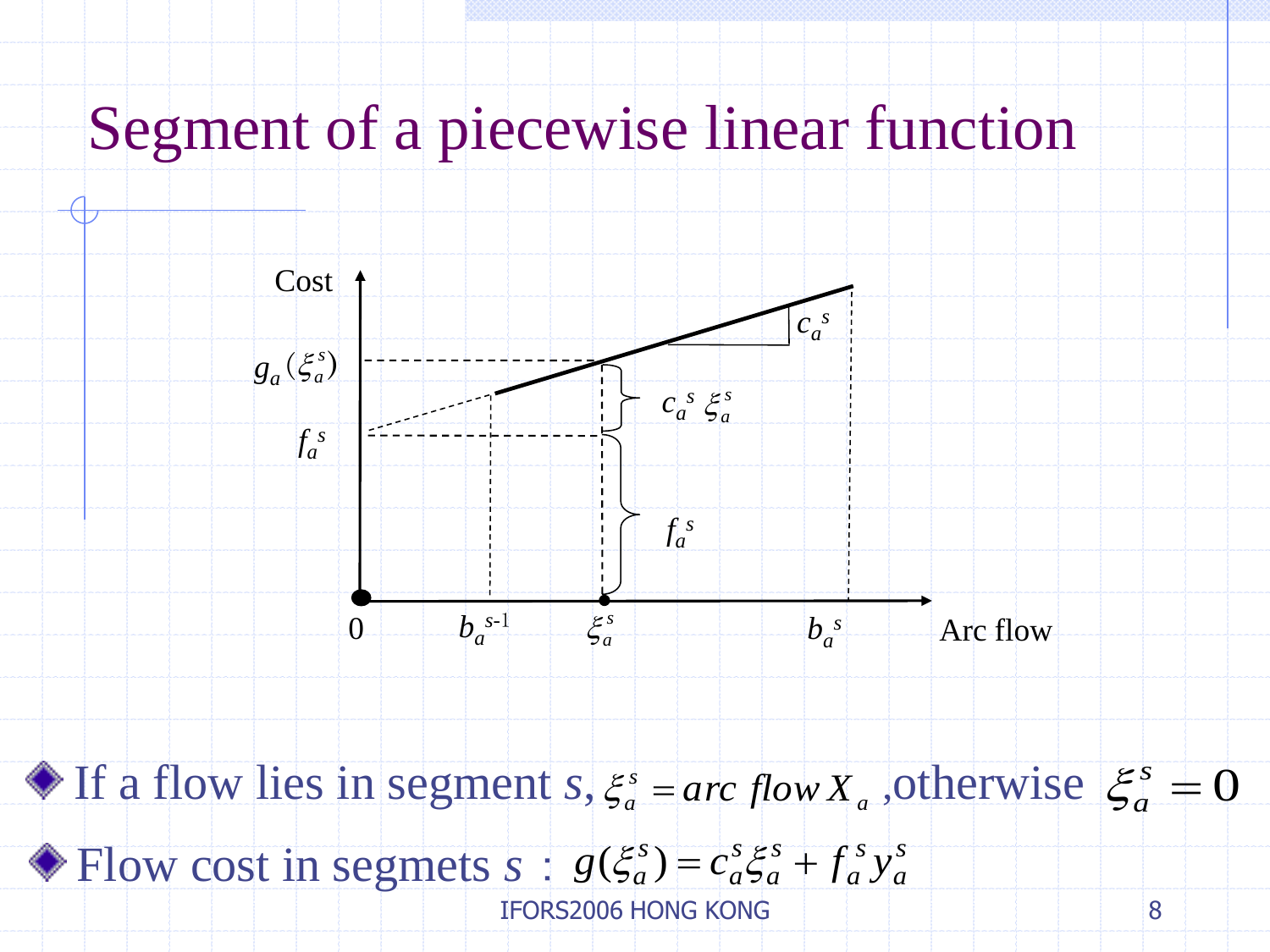# Segment of a piecewise linear function



If a flow lies in segment *s*,  $\xi_a^s = arc \, flow X_a$ , otherwise  $\xi_a^s = 0$ a otherwise  $\xi_a^s$  $\xi_a^s = arc \, flow \, X$ 

*s a s a s a s a s* Flow cost in segmets  $s : g(\xi_a^s) = c_a^s \xi_a^s + f_a^s y$ 

IFORS2006 HONG KONG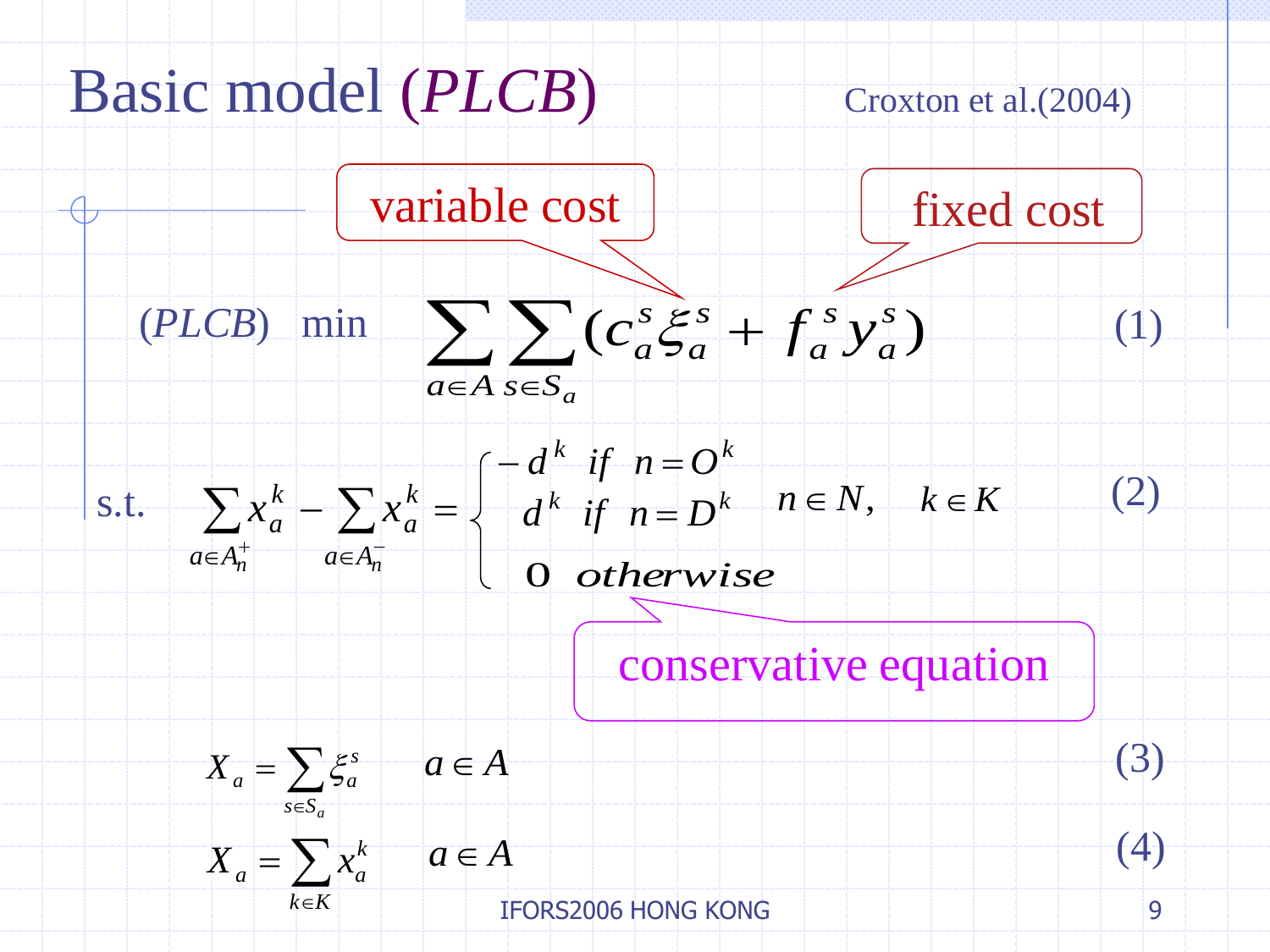

*k K*

IFORS2006 HONG KONG

9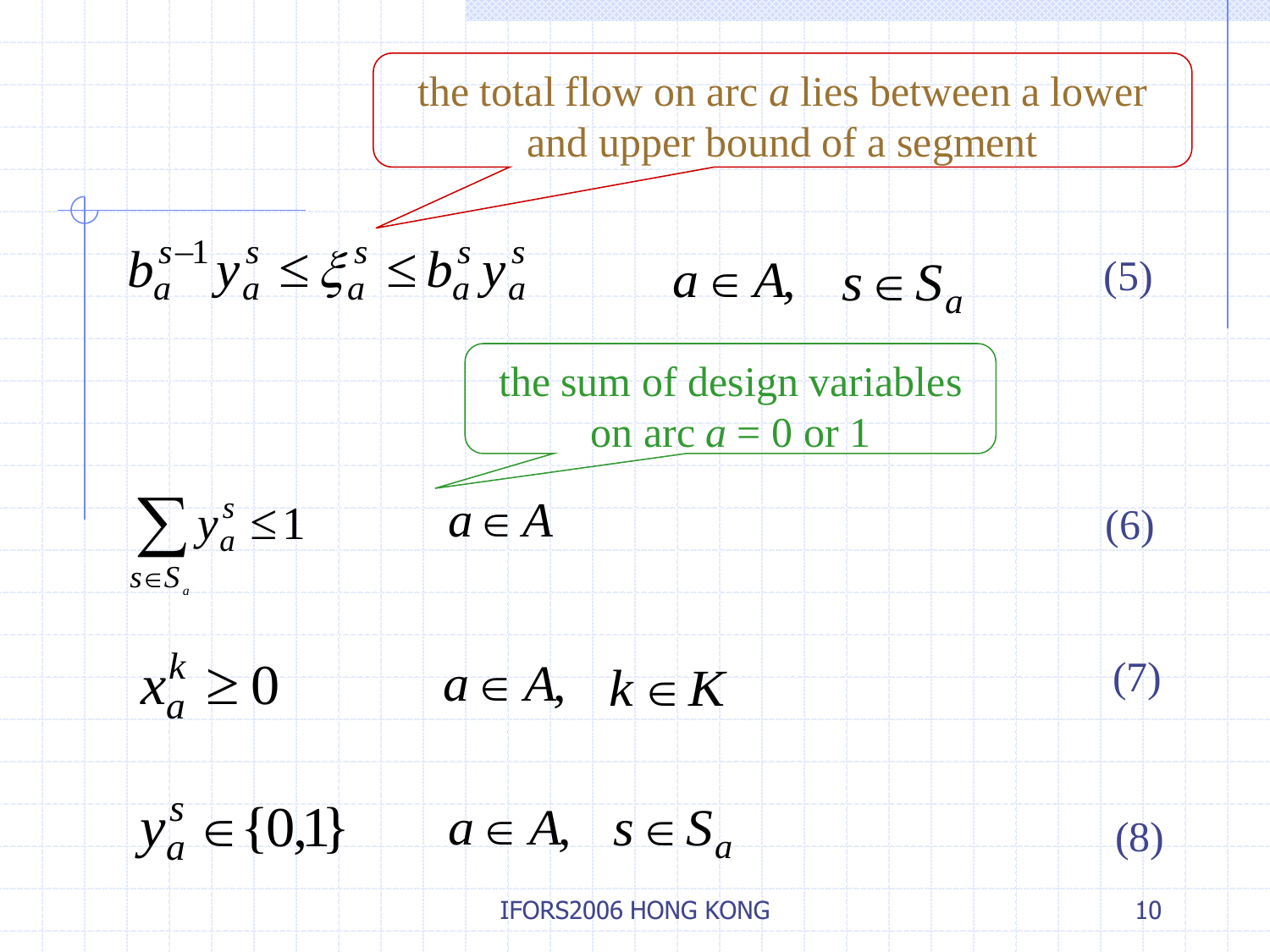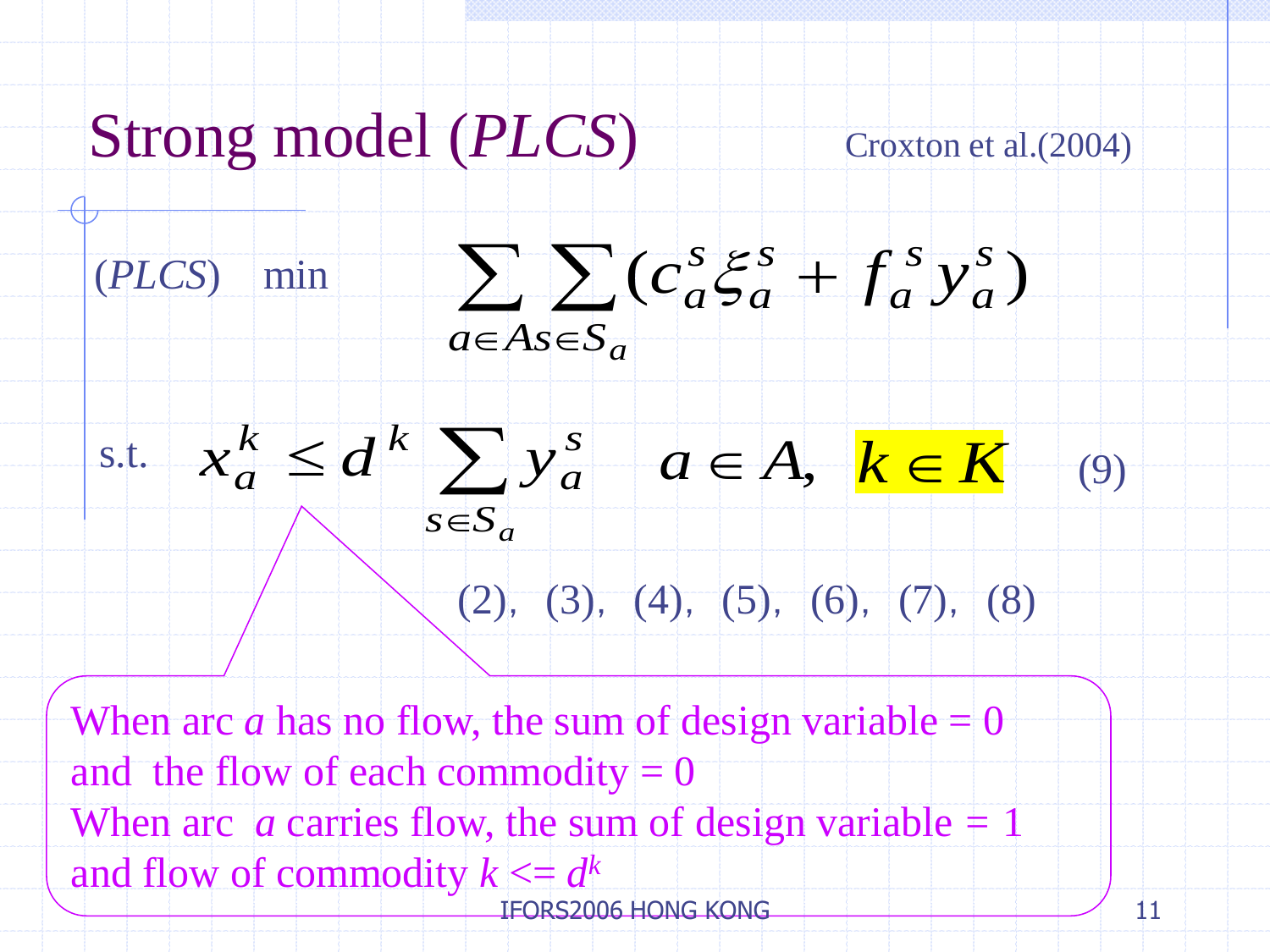# Strong model (*PLCS*) Croxton et al.(2004)



### $\leq d^k \sum y_a^s$  $\overline{s\in S_a}$ *a s.t.*  $x_a^k \leq d^k \sum y_a^s \quad a \in A, \ k \in K$  $(2), (3), (4), (5), (6), (7), (8)$ (9)

When arc *a* has no flow, the sum of design variable  $= 0$ and the flow of each commodity  $= 0$ When arc *a* carries flow, the sum of design variable  $= 1$ and flow of commodity  $k \leq d^k$ IFORS2006 HONG KONG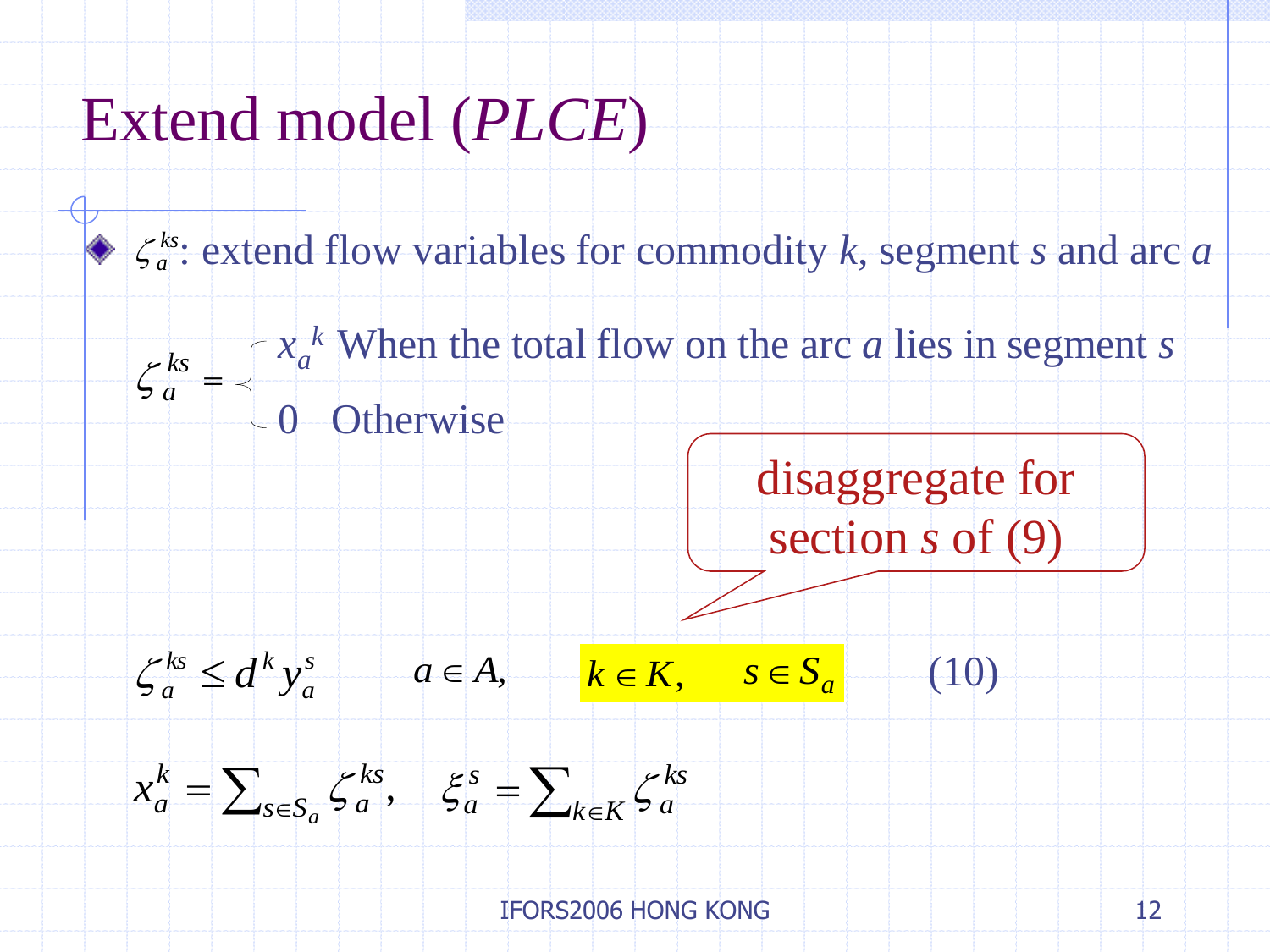### Extend model (*PLCE*)

 $\zeta_a^{ks}$ : extend flow variables for commodity *k*, segment *s* and arc *a* 

 $\zeta_a^{ks} =$  $x_a^k$  When the total flow on the arc *a* lies in segment *s* 0 Otherwise

disaggregate for section *s* of (9)



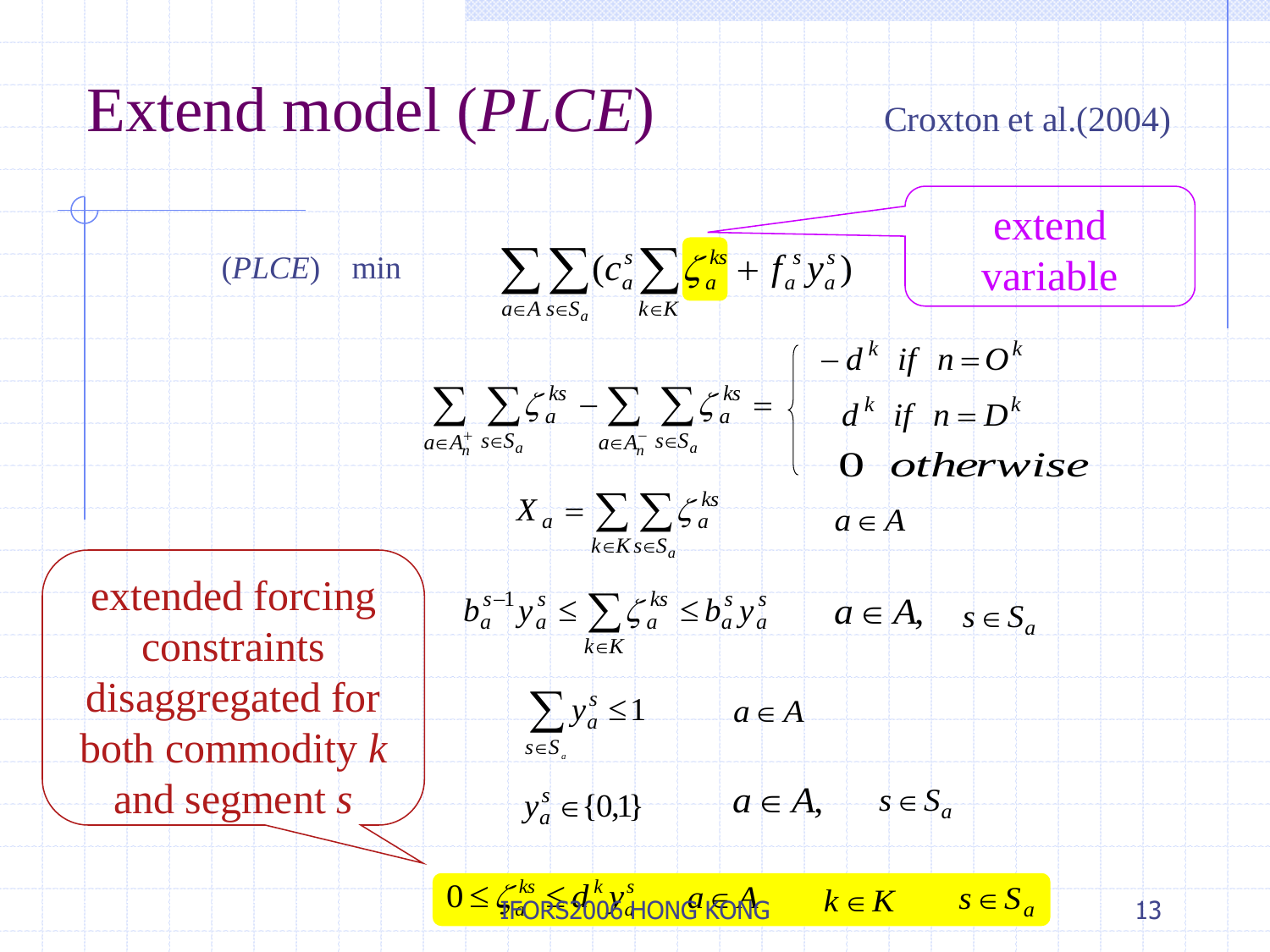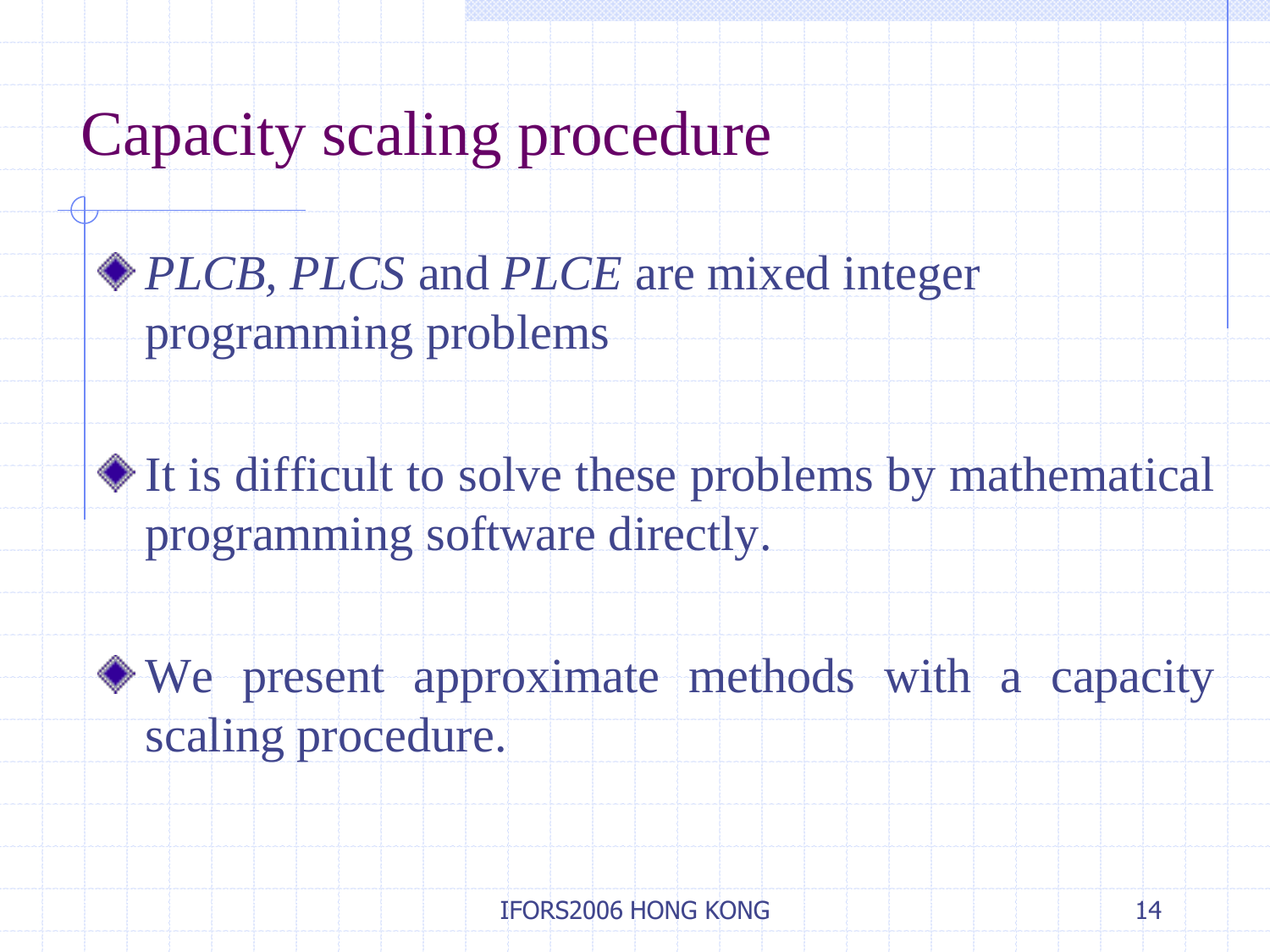## Capacity scaling procedure

### *PLCB, PLCS* and *PLCE* are mixed integer programming problems

It is difficult to solve these problems by mathematical programming software directly.

We present approximate methods with a capacity scaling procedure.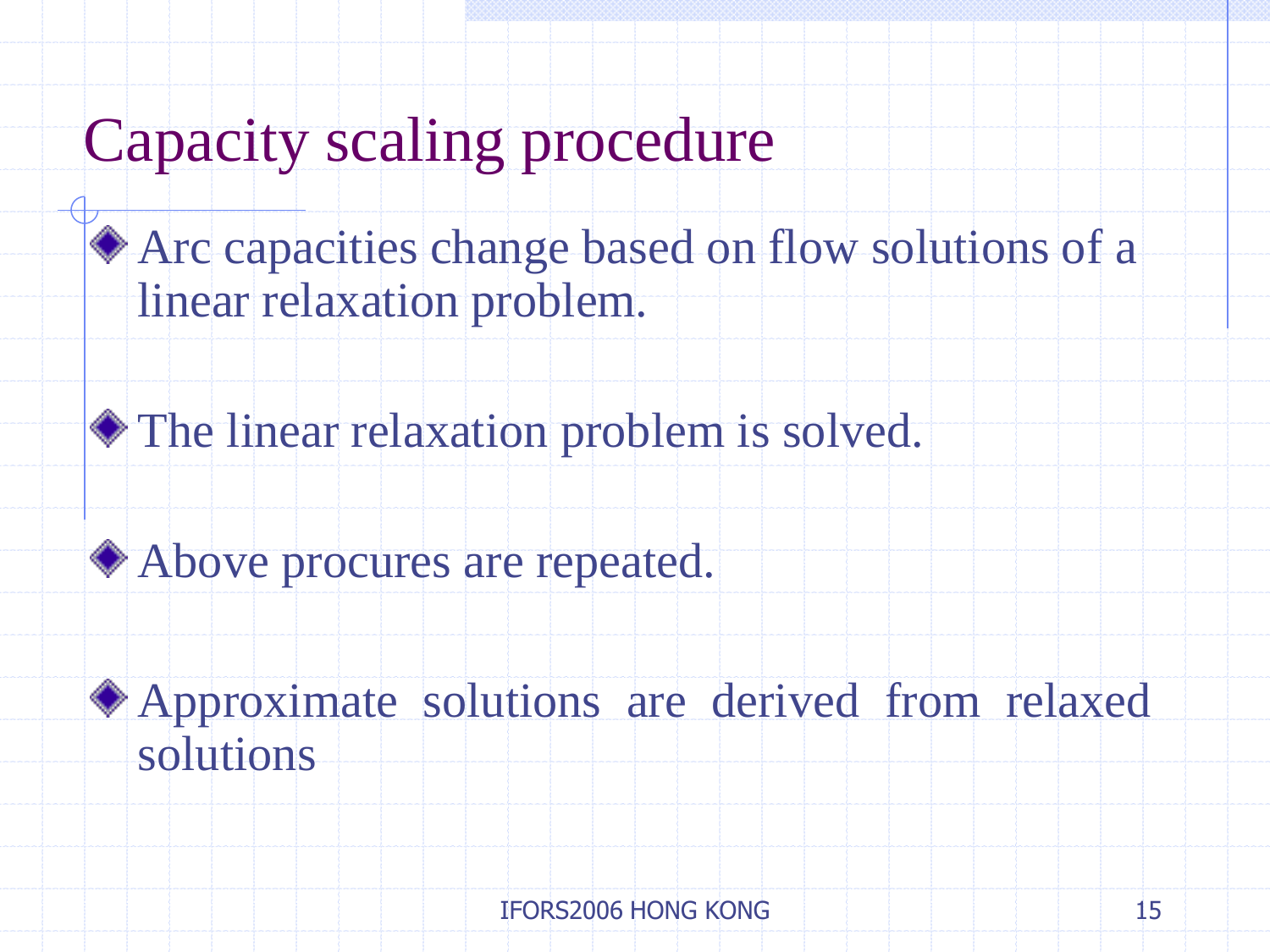### Capacity scaling procedure

Arc capacities change based on flow solutions of a linear relaxation problem.

The linear relaxation problem is solved.

Above procures are repeated.

Approximate solutions are derived from relaxed solutions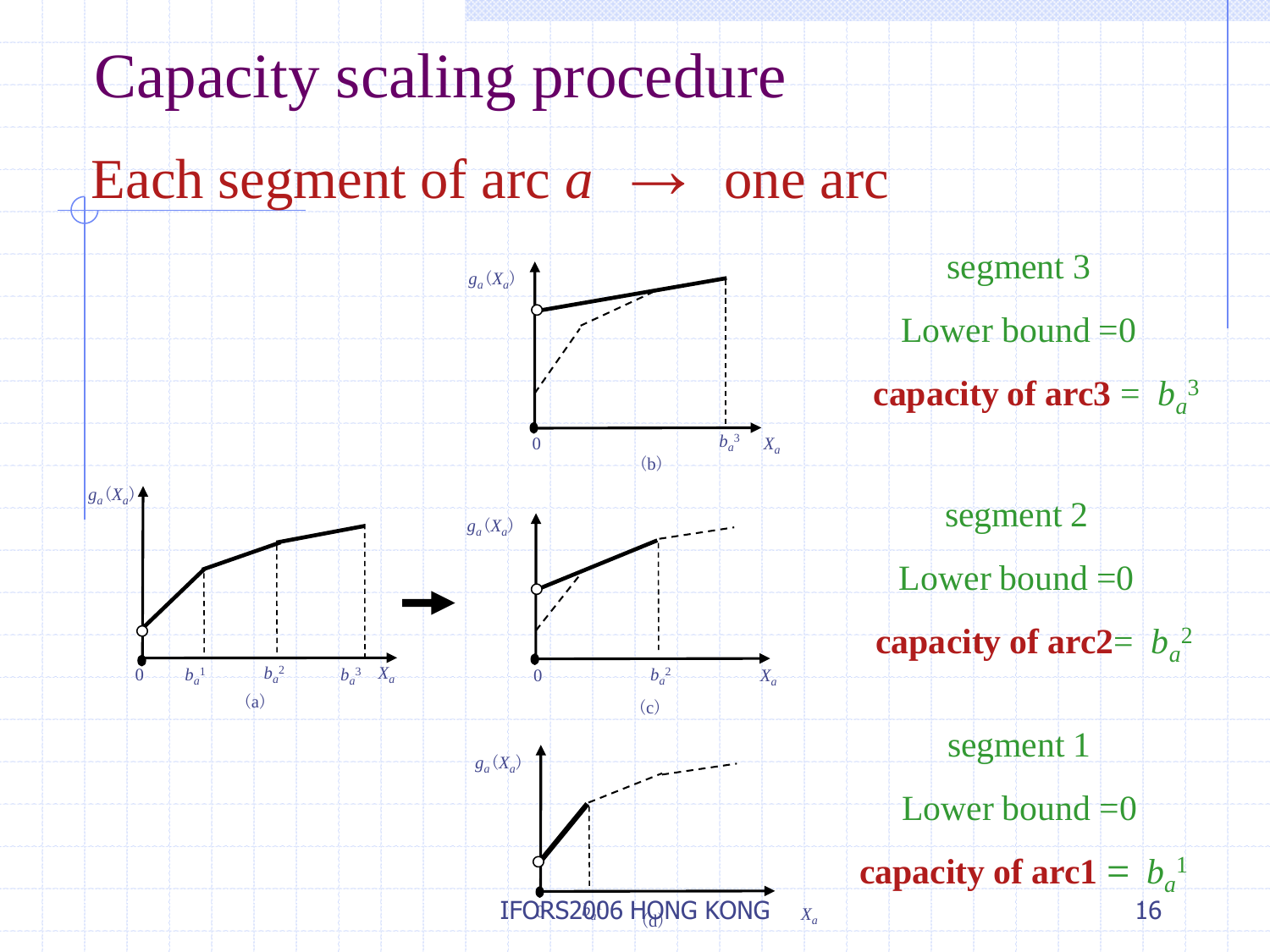# Capacity scaling procedure

### Each segment of arc  $a \rightarrow$  one arc

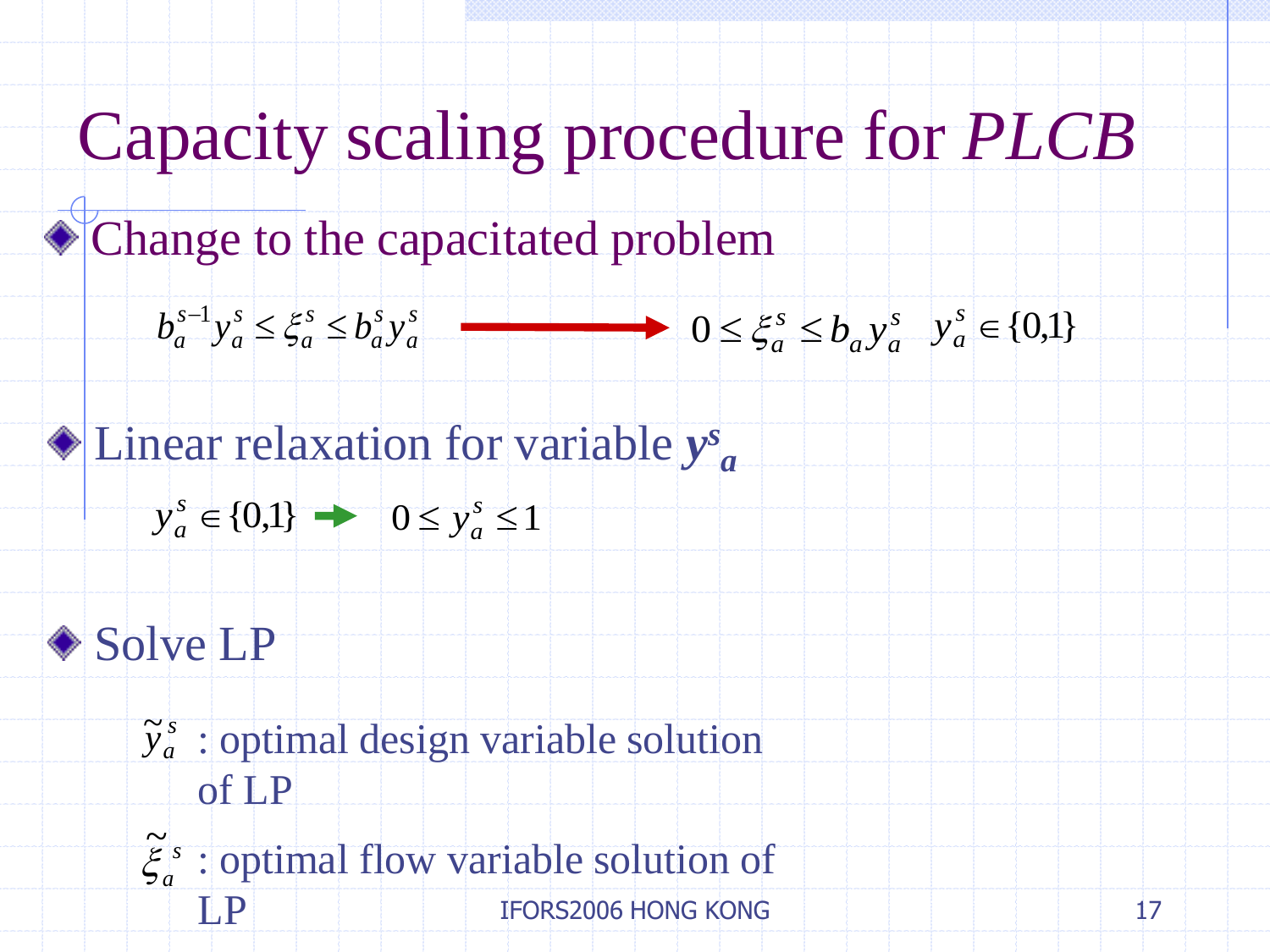Change to the capacitated problem

$$
b_a^{s-1} y_a^s \le \xi_a^s \le b_a^s y_a^s \qquad \qquad \longrightarrow \qquad 0 \le \xi_a^s \le b_a y_a^s \quad y_a^s \in \{0,1\}
$$

*a*

Linear relaxation for variable *y s*

 ${s \atop a} \in \{0,1\}$  $y_a^s \in \{0,1\}$   $\rightarrow$   $0 \le y_a^s \le 1$  $y_a^s$ 



*s*  $\widetilde{y}_a^s$  $\widetilde{y}_a^s$ : optimal design variable solution of LP

 $\tilde{\xi}_a^s$  $\widetilde{\widetilde{\phantom{a}}}\hspace{0.1cm}$ : optimal flow variable solution of **IFORS2006 HONG KONG**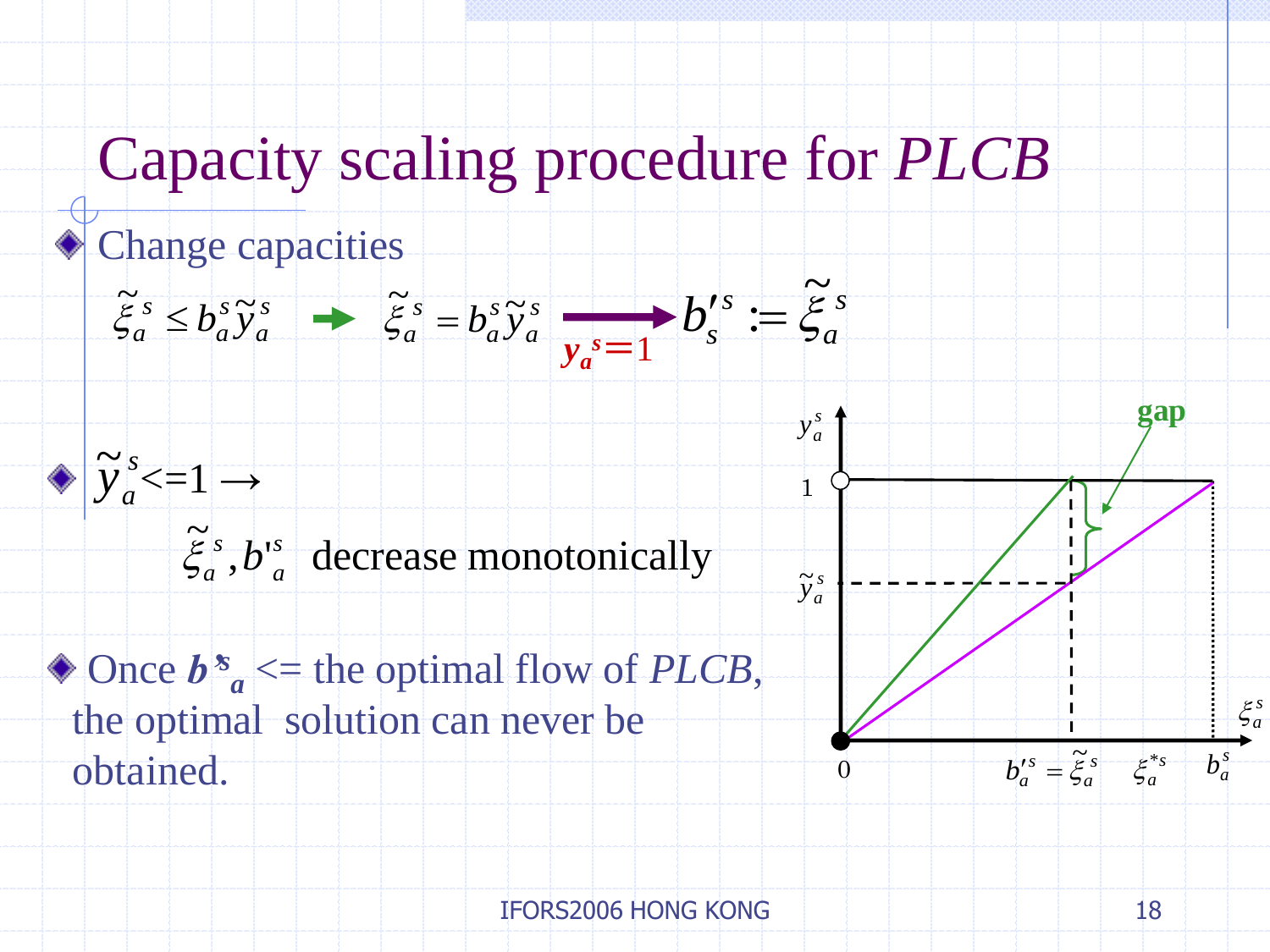### Change capacities



*s*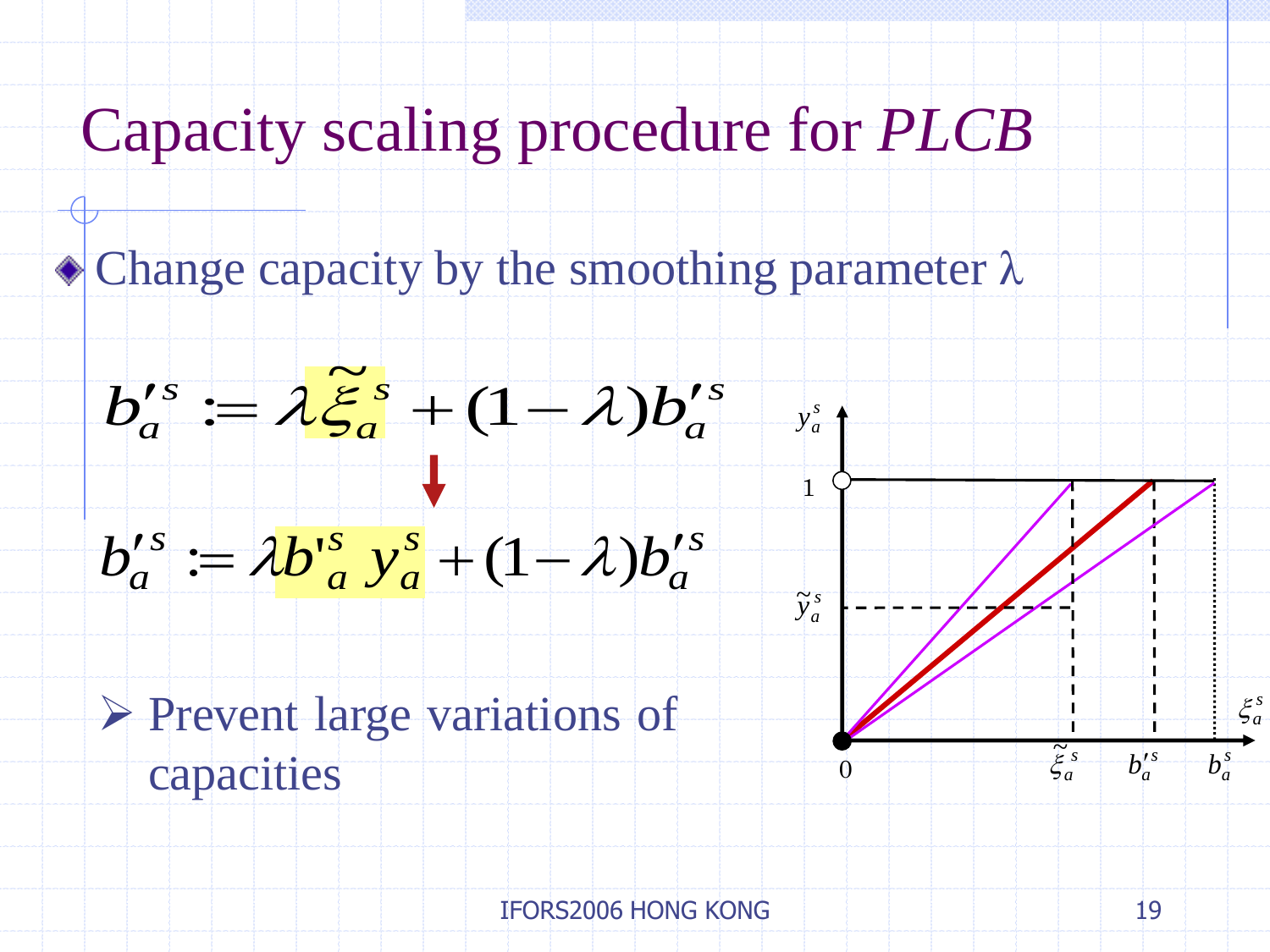$\bullet$  Change capacity by the smoothing parameter  $\lambda$ 









1

*s*  $\overset{\perp}{\mathbf{y}}_{a}^{\mathfrak{s}}$ 

 $\Omega$ 

 $b_a^{\prime s}$ 

*s*  $b_a^{\,s}$ 

*s*  $\xi_a^s$ 

 $\tilde{\xi}_a^s$  $\overline{\tilde{\mathcal{C}}}$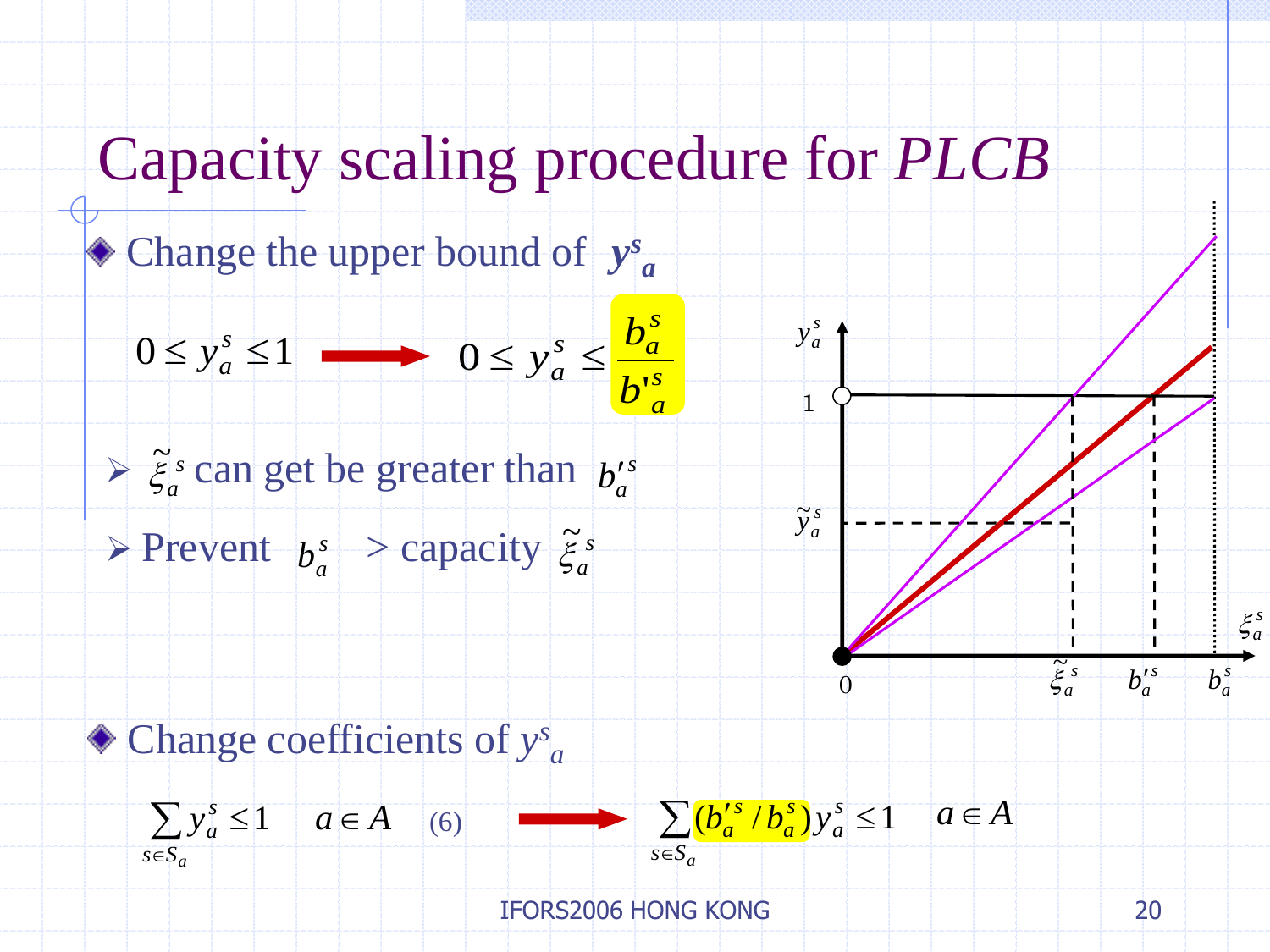Change the upper bound of *y s a* 

$$
0 \le y_a^s \le 1 \longrightarrow 0 \le y_a^s \le \frac{b_a^s}{b_a^{is}} \longrightarrow y_a^s
$$
  
\n
$$
\ge \xi_a^s
$$
 can get be greater than  $b_a^{is}$   
\n
$$
\ge \text{Provent } b_a^s \ge \text{capacity } \xi_a^s
$$
  
\n
$$
\ge \text{Change coefficients of } y_a^s
$$
  
\n
$$
\ge y_a^s \le 1 \quad a \in A \quad (6) \quad \sum_{s \in S_a} (b_a^{is} / b_a^s) y_a^s \le 1 \quad a \in A
$$
  
\n
$$
\le \xi_a^s
$$
  
\nIFORS2006 HONG KONG

*a*

> Prevent  $b_a^s$  > capacity  $\tilde{\xi}_a^s$  $b_a^s$ 

Change coefficients of *y s*

$$
\sum_{s \in S_a} y_a^s \le 1 \quad a \in A \quad (6) \qquad \longrightarrow \qquad \sum_{s \in S_a} (b_a'^s / b_a^s) y_a^s \le 1 \quad a \in A
$$

 $\sum (b_a^{\prime s}/b_a^s)y_a^s \leq$  *Sa s a s a s*

 $\overline{0}$ 

IFORS2006 HONG KONG

 $b_a^{\prime s}$ 

*s*  $b_a^{\,s}$ 

*s*  $\xi_a^s$ 

 $\tilde{\xi}_a^s$  $\overline{\tilde{\mathcal{C}}}$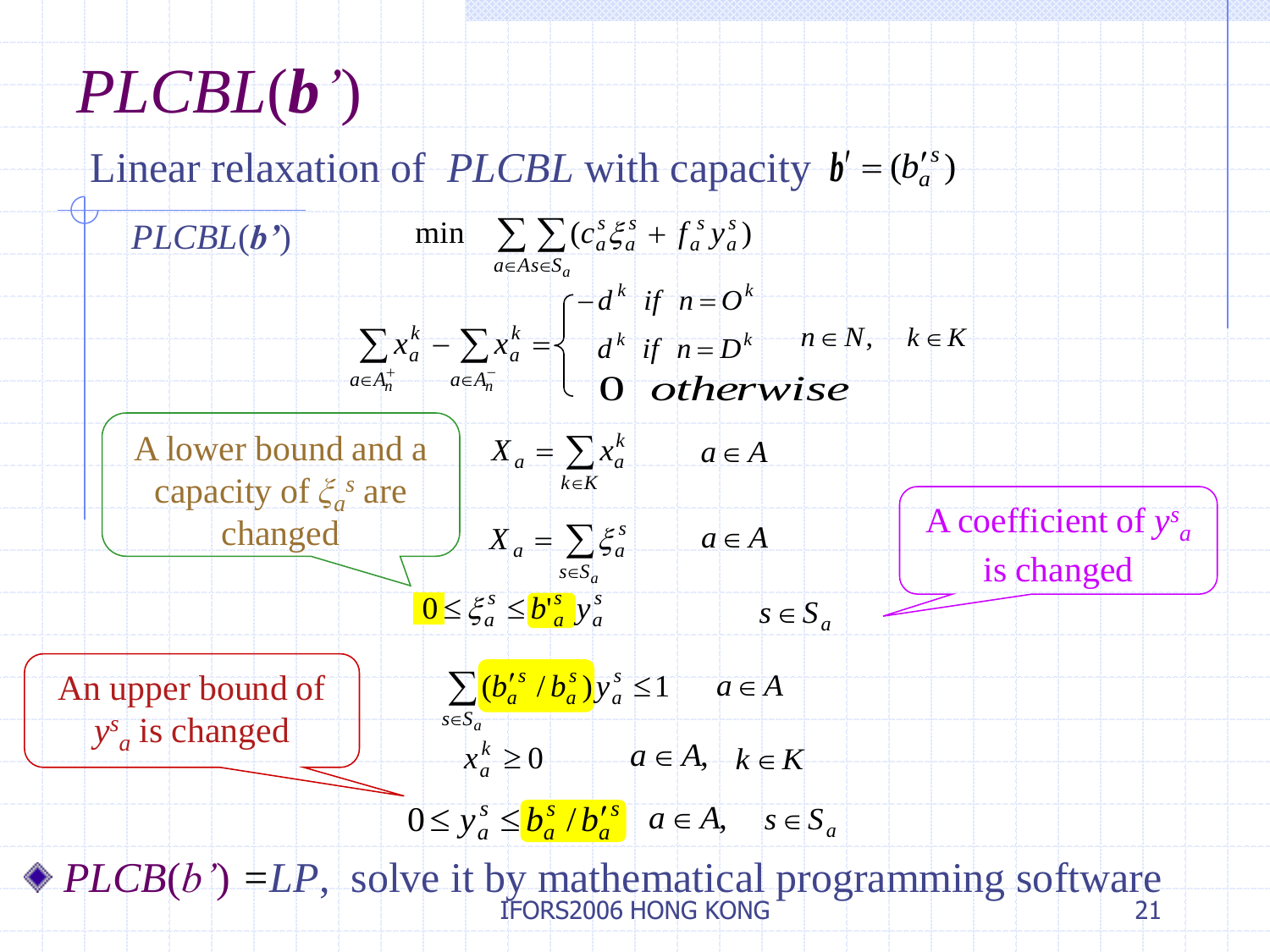# *PLCBL*(*b'*)

Linear relaxation of *PLCBL* with capacity  $b' = (b_a^{\prime s})$ 

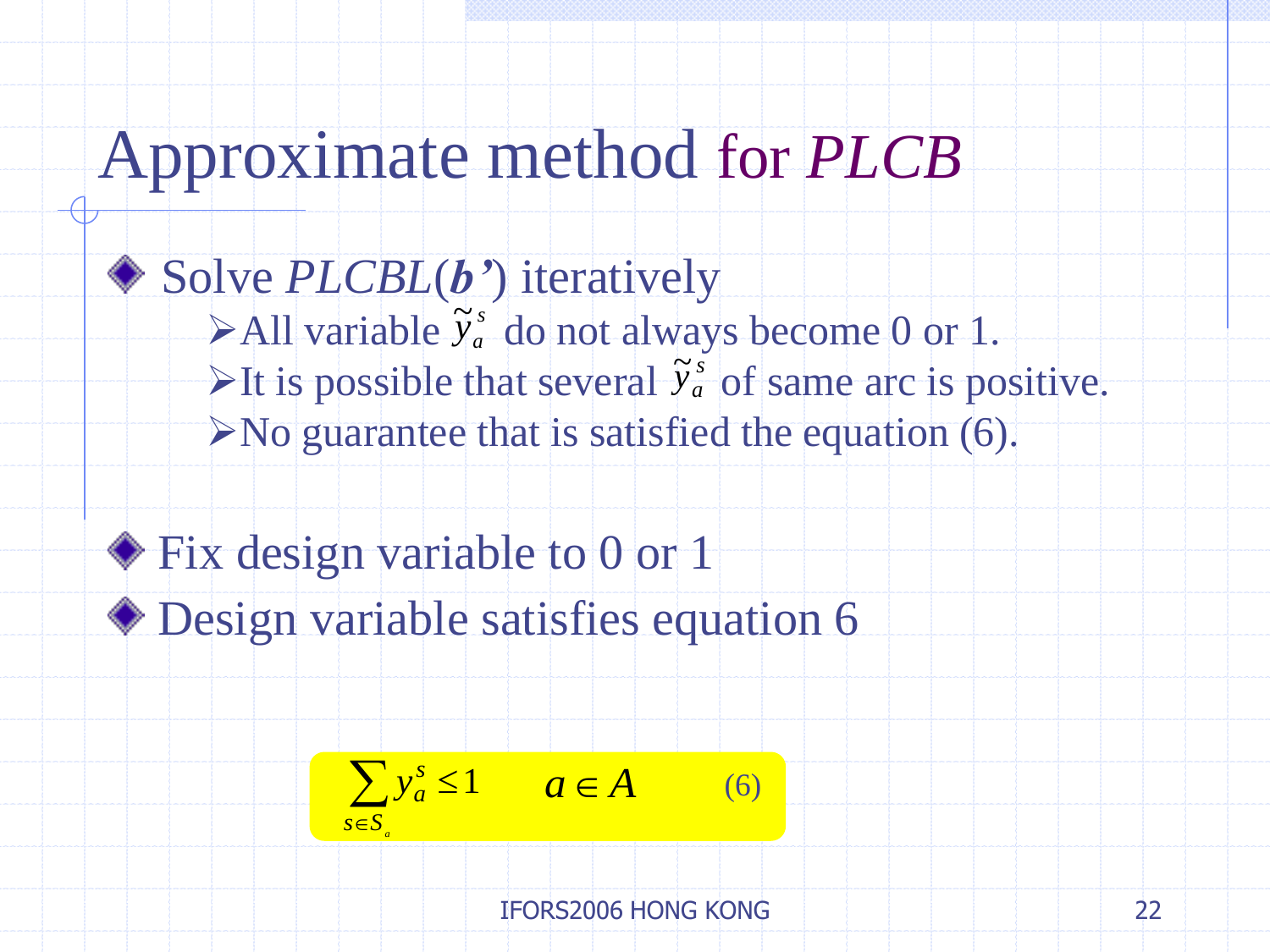# Approximate method for *PLCB*

### ◆ Solve *PLCBL*(*b*<sup>\*</sup>) iteratively

- $\blacktriangleright$  All variable  $\tilde{y}_a^s$  do not always become 0 or 1.  $\widetilde{y}^{\,s}_{\,a}$  $\frac{1}{2}$
- It is possible that several  $\tilde{y}_a^s$  of same arc is positive.  $\widetilde{y}^{\,s}_{a}$  $\frac{1}{\Omega}$
- $\triangleright$  No guarantee that is satisfied the equation (6).

### ◆ Fix design variable to 0 or 1

Design variable satisfies equation 6

$$
\sum_{s \in S_a} y_a^s \le 1 \qquad a \in A \tag{6}
$$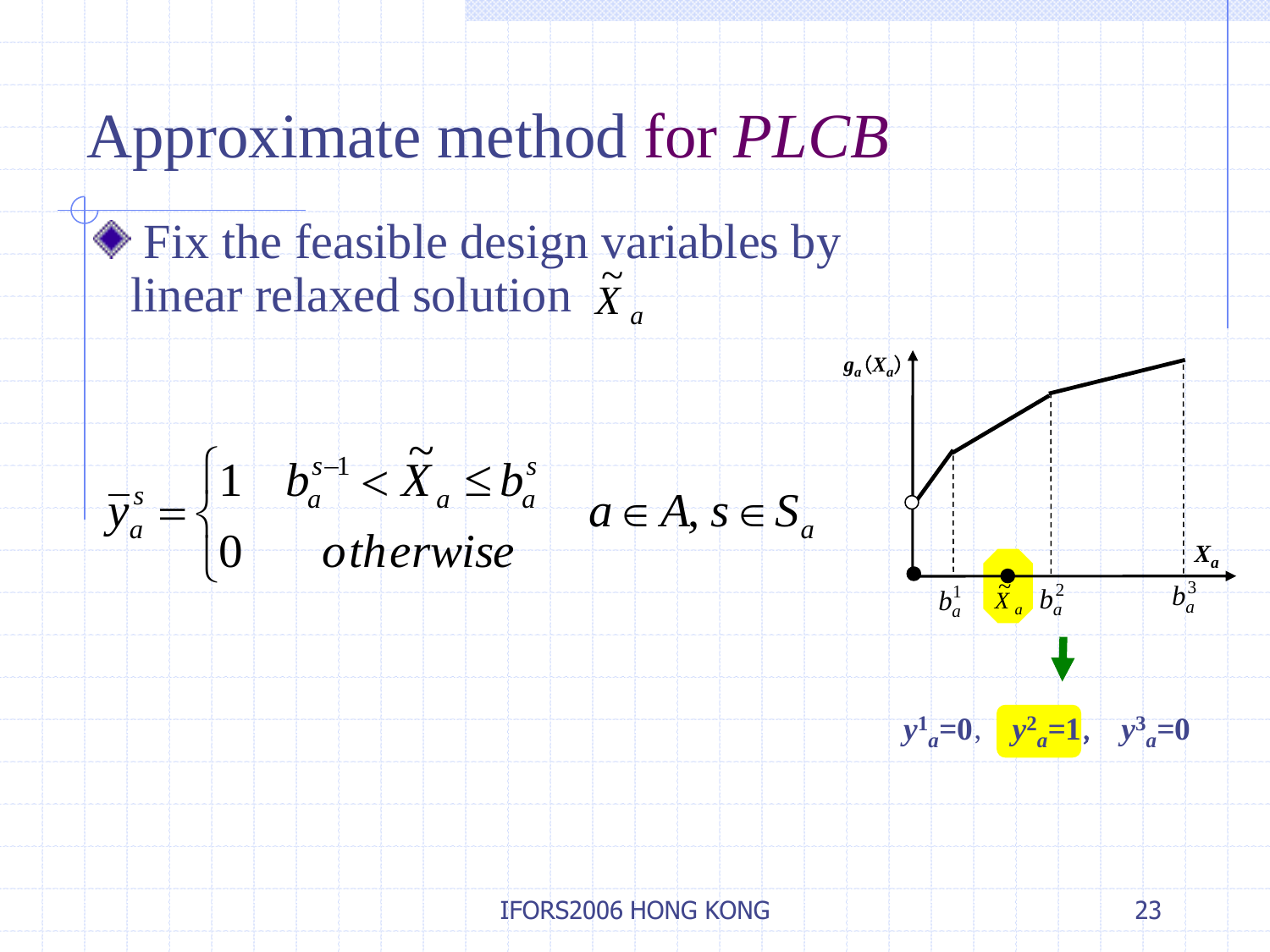### Approximate method for *PLCB*

### Fix the feasible design variables by linear relaxed solution *X a*  $\frac{1}{\sqrt{2}}$





 $g_a(X_a)$ 

3  $b_a^3$ 

*Xa*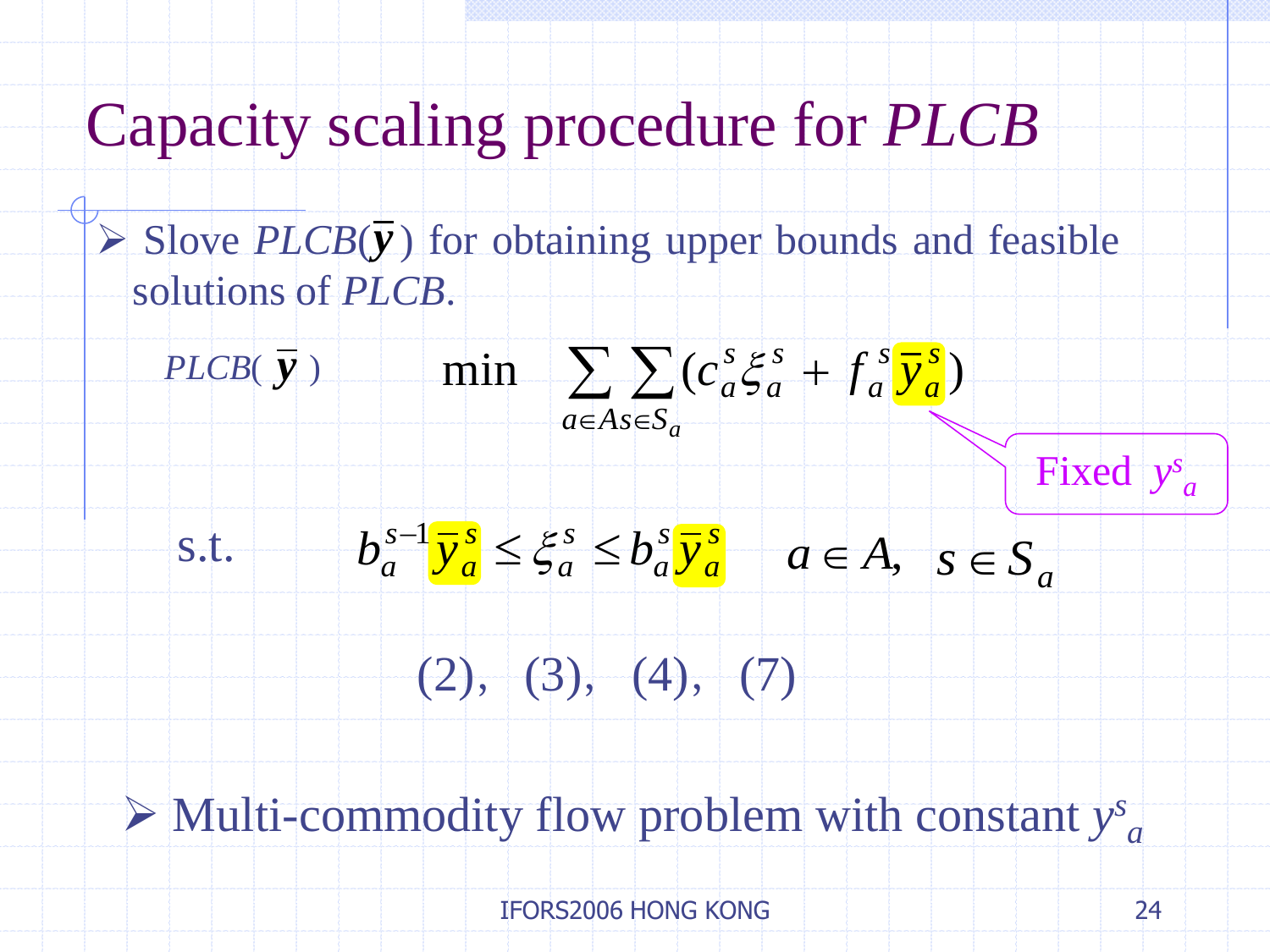$\triangleright$  Slove  $PLCB(\bar{y})$  for obtaining upper bounds and feasible solutions of *PLCB*.



 Multi-commodity flow problem with constant *y s a*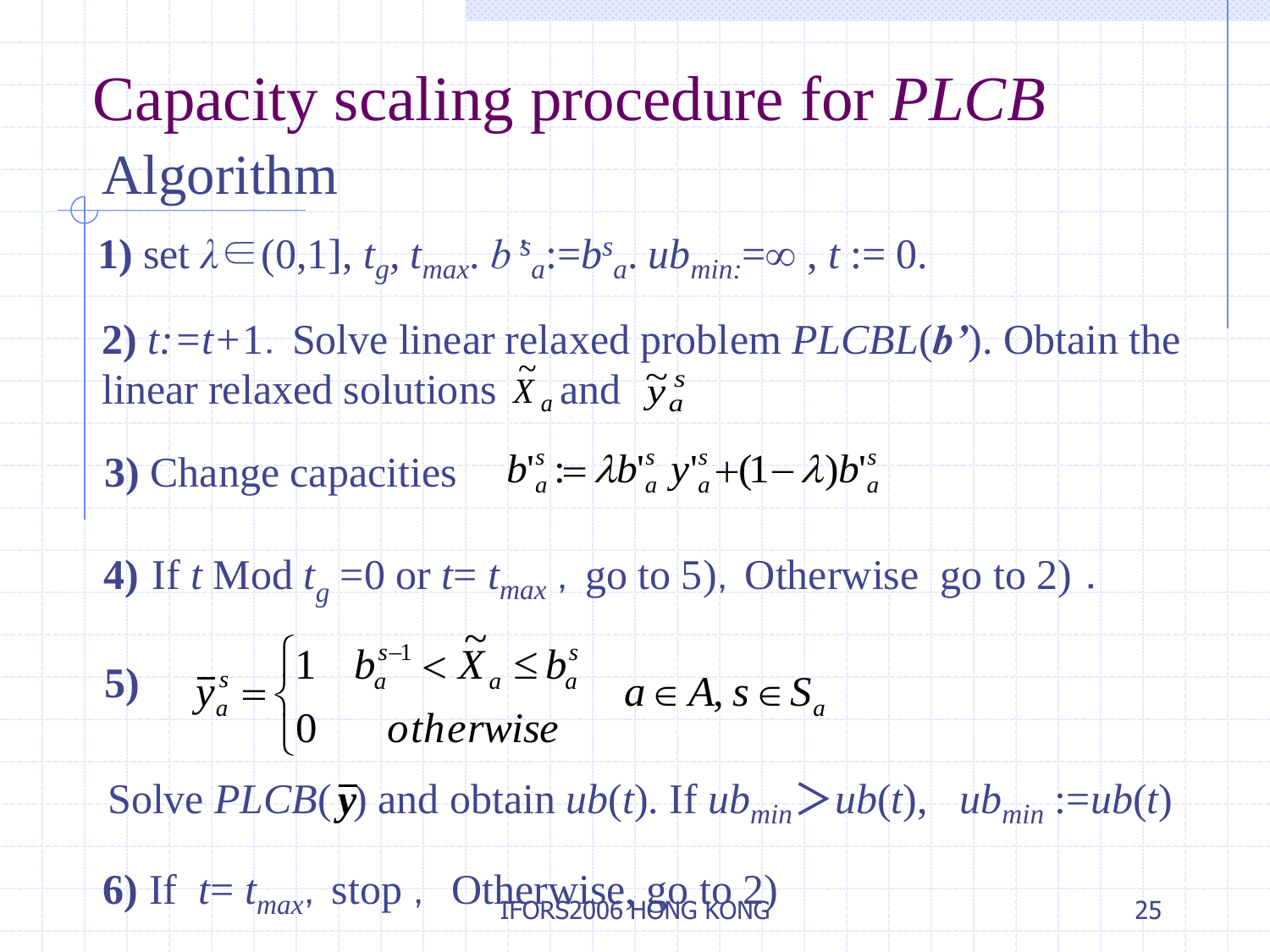# Capacity scaling procedure for *PLCB* Algorithm

1) set 
$$
\lambda \in (0,1]
$$
,  $t_g$ ,  $t_{max}$ .  $b^s_a := b^s_a$ .  $ub_{min} = \infty$ ,  $t := 0$ .

**2)** *t:=t+*1.Solve linear relaxed problem *PLCBL*(*b'*). Obtain the linear relaxed solutions  $\tilde{X}_a$  and  $\frac{1}{\Omega}$  $\widetilde{y}^{\,s}_{a}$ ।<br>ন

- **3**) Change capacities  $b^s{}_a := \lambda b^s{}_a y^s{}_a + (1 \lambda) b^s{}_a$ *a s a s a*  $b^{\text{ts}}_a := \lambda b^{\text{ts}}_a y^{\text{ts}}_a + (1 - \lambda)b^{\text{ts}}_a$
- 4) If *t* Mod  $t_g = 0$  or  $t = t_{max}$ , go to 5), Otherwise go to 2).

linear relaxed solutions 
$$
\tilde{X}_a
$$
 and  $\tilde{y}_a^s$   
\n3) Change capacities  $b_a^s := \lambda b_a^s y_a^s + (1 - \lambda)$   
\n4) If  $t \text{ Mod } t_g = 0 \text{ or } t = t_{max}$ , go to 5), Othe  
\n5)  $\bar{y}_a^s = \begin{cases} 1 & b_a^{s-1} < \tilde{X}_a \leq b_a^s \\ 0 & otherwise \end{cases}$   $a \in A, s \in S_a$   
\nSolve  $PLCB(\bar{y})$  and obtain  $ub(t)$ . If  $ub_{min}$  >  
\n6) If  $t = t_{max}$ , stop,  $OfHPOR22UB6+IBQ6 to  $\lambda$$ 

Solve *PLCB*( $\bar{y}$ ) and obtain *ub*(*t*). If  $ub_{min} > ub(t)$ ,  $ub_{min} := ub(t)$ 

6) If  $t = t_{max}$ , stop, Otherwise, go to 2)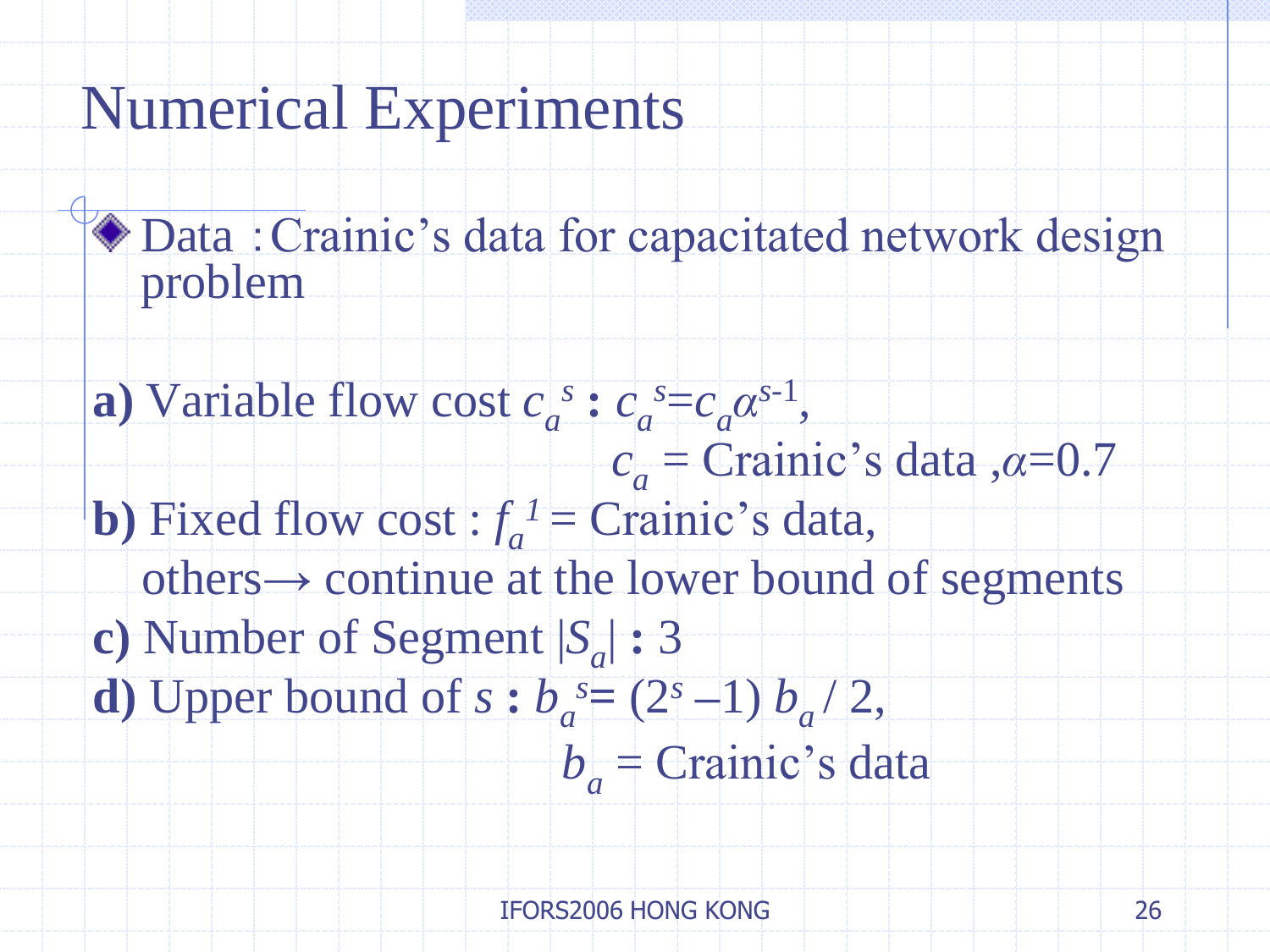### Numerical Experiments

- Data : Crainic's data for capacitated network design problem
- **a**) Variable flow cost  $c_a^s$  :  $c_a^s = c_a \alpha^{s-1}$ , *ca* = Crainic's data ,*α*=0.7 **b**) Fixed flow cost :  $f_a^{\prime}$  = Crainic's data,  $others \rightarrow$  continue at the lower bound of segments **c)** Number of Segment |*S<sup>a</sup>* | **:** 3 **d**) Upper bound of  $s : b_a^s = (2^s - 1) b_a / 2$ , *ba* = Crainic's data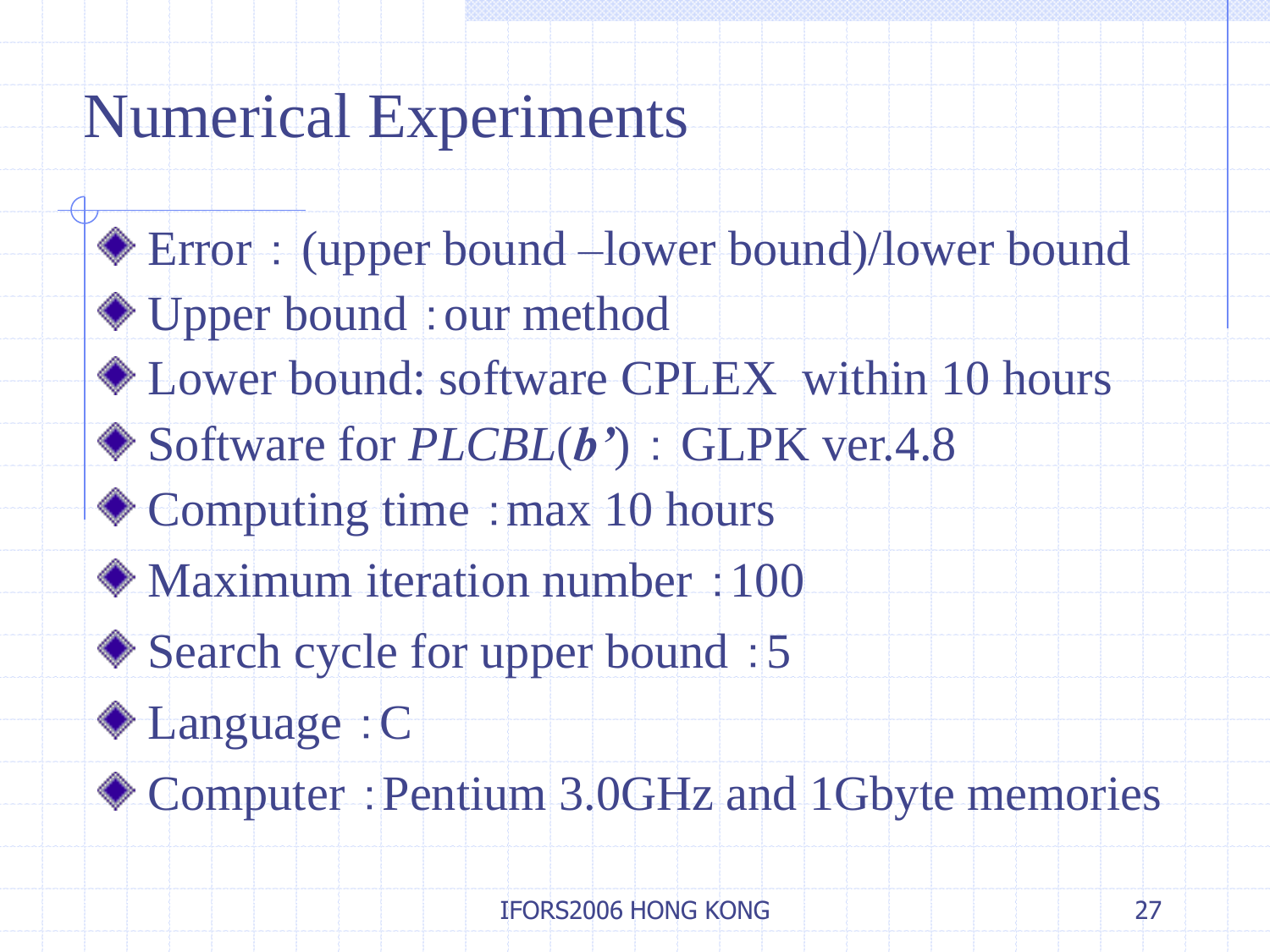### Numerical Experiments

Error : (upper bound –lower bound)/lower bound ◆ Upper bound : our method Lower bound: software CPLEX within 10 hours Software for *PLCBL*(*b'*) : GLPK ver.4.8 ◆ Computing time : max 10 hours Maximum iteration number :100 ◆ Search cycle for upper bound : 5 Language :C Computer :Pentium 3.0GHz and 1Gbyte memories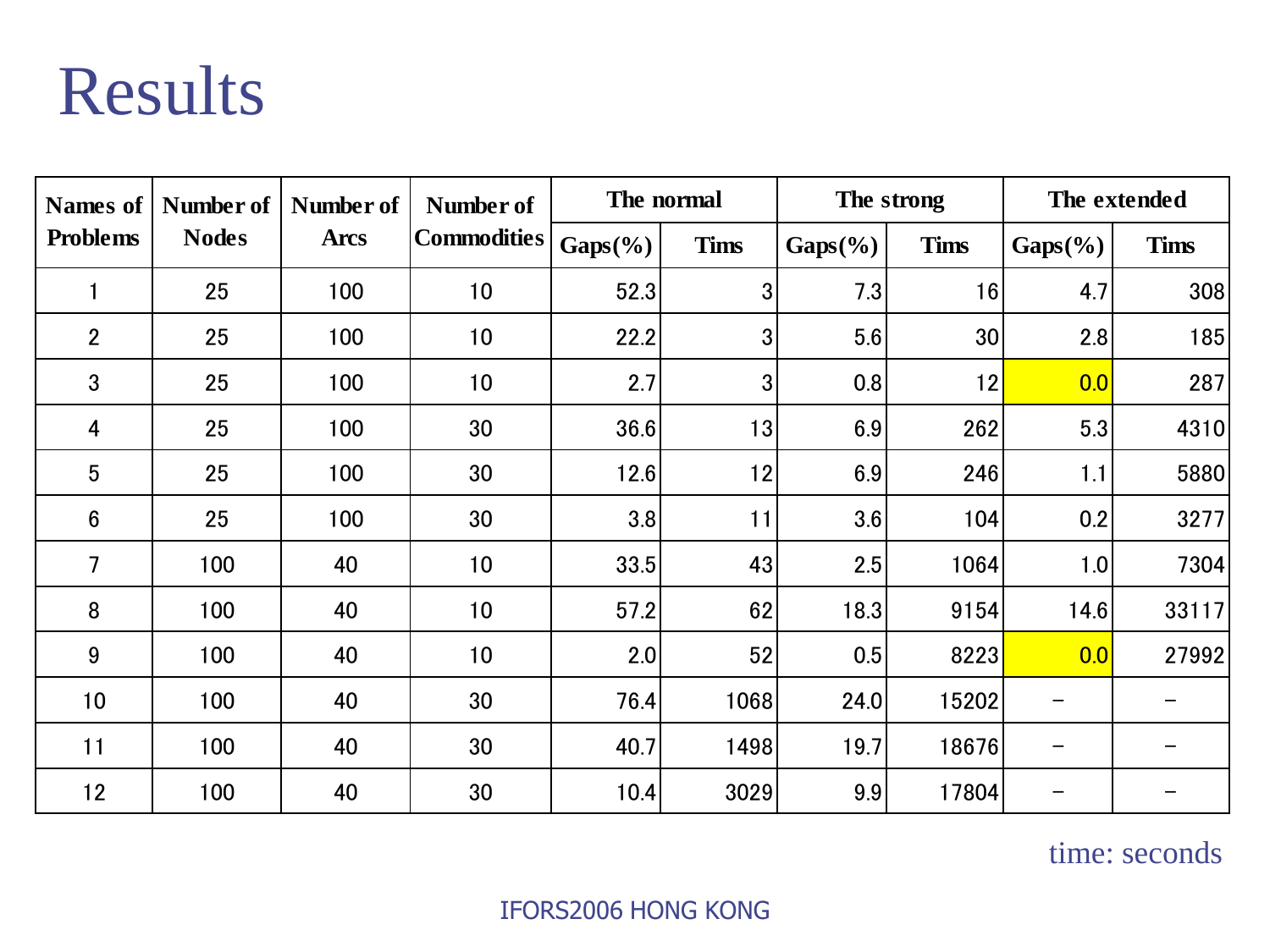# Results

| <b>Names</b> of<br><b>Problems</b> | Number of<br><b>Nodes</b> | Number of<br><b>Arcs</b> | Number of<br><b>Commodities</b> | The normal  |                | The strong  |             | The extended |             |
|------------------------------------|---------------------------|--------------------------|---------------------------------|-------------|----------------|-------------|-------------|--------------|-------------|
|                                    |                           |                          |                                 | $Gaps(\% )$ | <b>Tims</b>    | $Gaps(\% )$ | <b>Tims</b> | $Gaps(\% )$  | <b>Tims</b> |
|                                    | 25                        | 100                      | 10                              | 52.3        | 3              | 7.3         | 16          | 4.7          | 308         |
| $\overline{2}$                     | 25                        | 100                      | 10                              | 22.2        | 3 <sub>l</sub> | 5.6         | 30          | 2.8          | 185         |
| $\mathbf{3}$                       | 25                        | 100                      | 10                              | 2.7         | $\overline{3}$ | 0.8         | 12          | 0.0          | 287         |
| 4                                  | 25                        | 100                      | 30                              | 36.6        | 13             | 6.9         | 262         | 5.3          | 4310        |
| $5\phantom{.}$                     | 25                        | 100                      | 30                              | 12.6        | 12             | 6.9         | 246         | 1.1          | 5880        |
| $6\phantom{1}$                     | 25                        | 100                      | 30                              | 3.8         | 11             | 3.6         | 104         | 0.2          | 3277        |
| 7                                  | 100                       | 40                       | 10                              | 33.5        | 43             | 2.5         | 1064        | 1.0          | 7304        |
| 8                                  | 100                       | 40                       | 10                              | 57.2        | 62             | 18.3        | 9154        | 14.6         | 33117       |
| 9                                  | 100                       | 40                       | 10                              | 2.0         | 52             | 0.5         | 8223        | 0.0          | 27992       |
| 10                                 | 100                       | 40                       | 30                              | 76.4        | 1068           | 24.0        | 15202       |              |             |
| 11                                 | 100                       | 40                       | 30                              | 40.7        | 1498           | 19.7        | 18676       | —            |             |
| 12                                 | 100                       | 40                       | 30                              | 10.4        | 3029           | 9.9         | 17804       | —            |             |

time: seconds

#### IFORS2006 HONG KONG